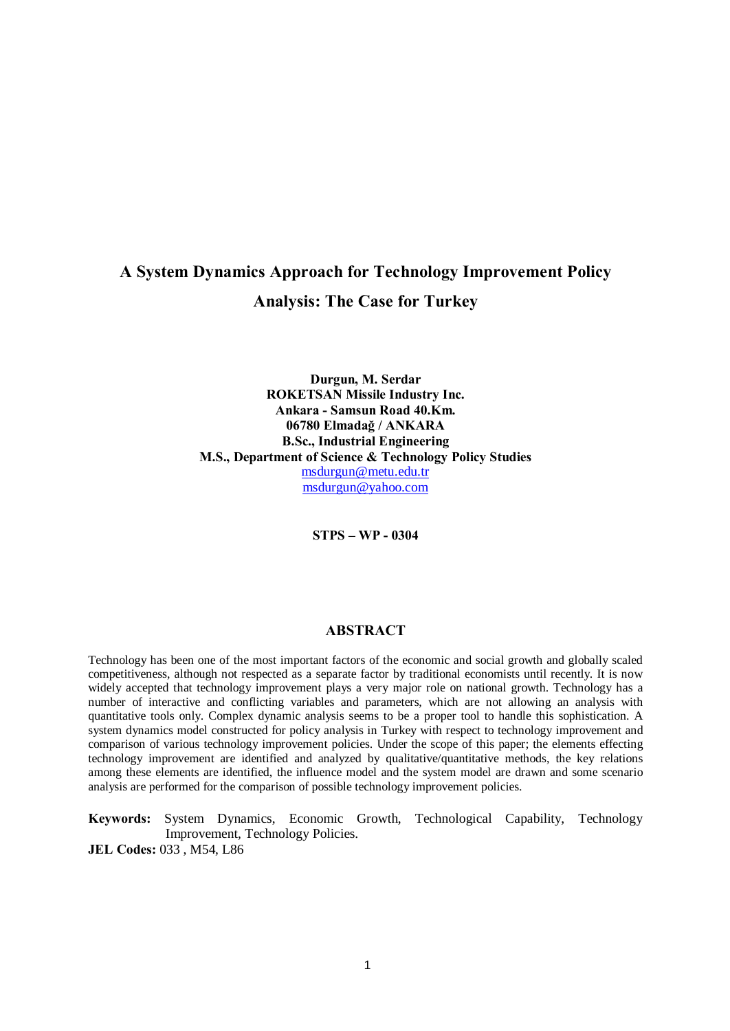## A System Dynamics Approach for Technology Improvement Policy Analysis: The Case for Turkey

Durgun, M. Serdar ROKETSAN Missile Industry Inc. Ankara -Samsun Road 40.Km. 06780 Elmadað / ANKARA B.Sc., Industrial Engineering M.S., Department of Science & Technology Policy Studies [msdurgun@metu.edu.tr](mailto:msdurgun@metu.edu.tr) [msdurgun@yahoo.com](mailto:msdurgun@yahoo.com)

STPS - WP - 0304

### ABSTRACT

Technology has been one of the most important factors of the economic and social growth and globally scaled competitiveness, although not respected as a separate factor by traditional economists until recently. It is now widely accepted that technology improvement plays a very major role on national growth. Technology has a number of interactive and conflicting variables and parameters, which are not allowing an analysis with quantitative tools only. Complex dynamic analysis seems to be a proper tool to handle this sophistication. A system dynamics model constructed for policy analysis in Turkey with respect to technology improvement and comparison of various technology improvement policies. Under the scope of this paper; the elements effecting technology improvement are identified and analyzed by qualitative/quantitative methods, the key relations among these elements are identified, the influence model and the system model are drawn and some scenario analysis are performed for the comparison of possible technology improvement policies.

Keywords: System Dynamics, Economic Growth, Technological Capability, Technology Improvement, Technology Policies. JEL Codes: 033 , M54, L86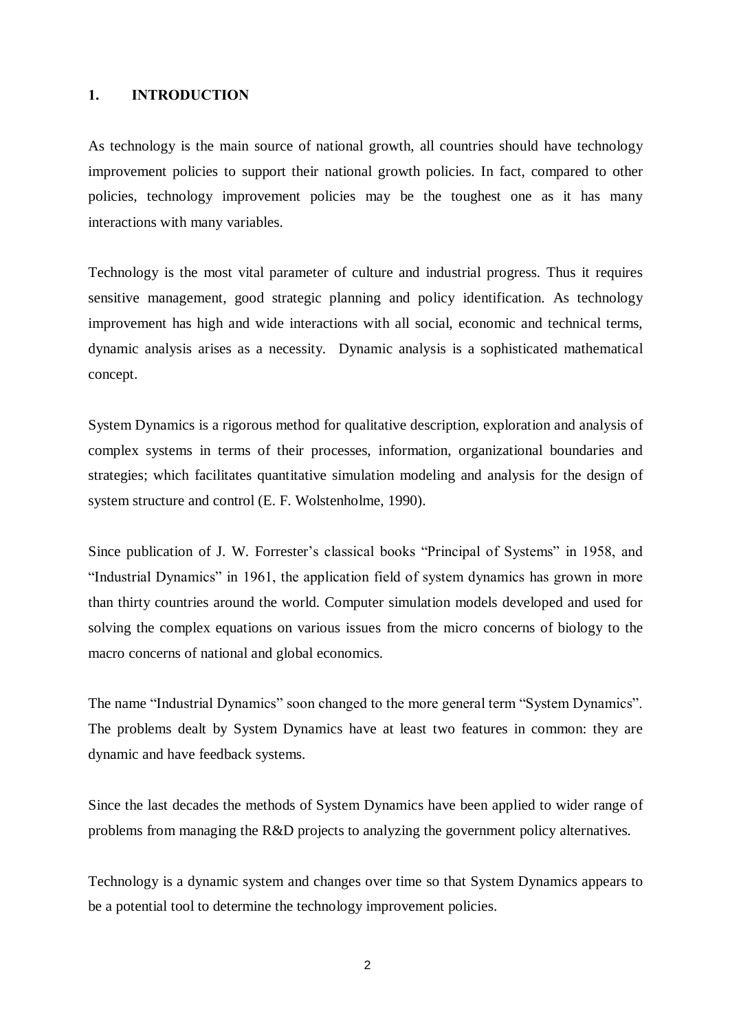### 1. INTRODUCTION

As technology is the main source of national growth, all countries should have technology improvement policies to support their national growth policies. In fact, compared to other policies, technology improvement policies may be the toughest one as it has many interactions with many variables.

Technology is the most vital parameter of culture and industrial progress. Thus it requires sensitive management, good strategic planning and policy identification. As technology improvement has high and wide interactions with all social, economic and technical terms, dynamic analysis arises as a necessity. Dynamic analysis is a sophisticated mathematical concept.

System Dynamics is a rigorous method for qualitative description, exploration and analysis of complex systems in terms of their processes, information, organizational boundaries and strategies; which facilitates quantitative simulation modeling and analysis for the design of system structure and control (E. F. Wolstenholme, 1990).

Since publication of J. W. Forrester's classical books "Principal of Systems" in 1958, and "Industrial Dynamics" in 1961, the application field of system dynamics has grown in more than thirty countries around the world. Computer simulation models developed and used for solving the complex equations on various issues from the micro concerns of biology to the macro concerns of national and global economics.

The name "Industrial Dynamics" soon changed to the more general term "System Dynamics". The problems dealt by System Dynamics have at least two features in common: they are dynamic and have feedback systems.

Since the last decades the methods of System Dynamics have been applied to wider range of problems from managing the R&D projects to analyzing the government policy alternatives.

Technology is a dynamic system and changes over time so that System Dynamics appears to be a potential tool to determine the technology improvement policies.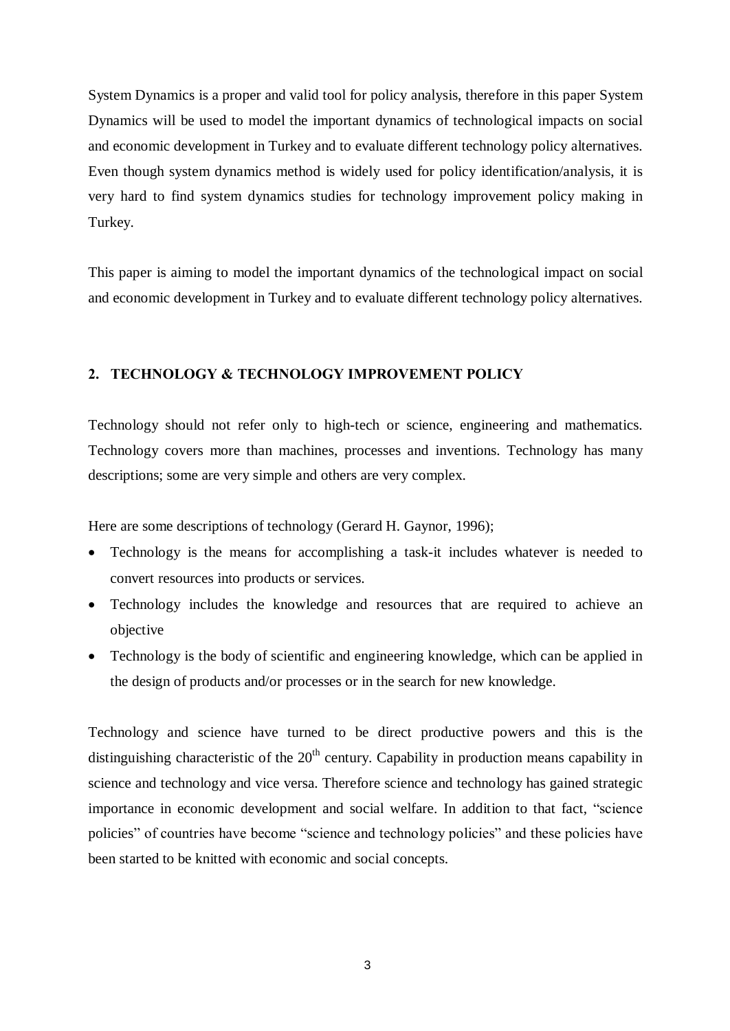System Dynamics is a proper and valid tool for policy analysis, therefore in this paper System Dynamics will be used to model the important dynamics of technological impacts on social and economic development in Turkey and to evaluate different technology policy alternatives. Even though system dynamics method is widely used for policy identification/analysis, it is very hard to find system dynamics studies for technology improvement policy making in Turkey.

This paper is aiming to model the important dynamics of the technological impact on social and economic development in Turkey and to evaluate different technology policy alternatives.

## 2. TECHNOLOGY & TECHNOLOGY IMPROVEMENT POLICY

Technology should not refer only to high-tech or science, engineering and mathematics. Technology covers more than machines, processes and inventions. Technology has many descriptions; some are very simple and others are very complex.

Here are some descriptions of technology (Gerard H. Gaynor, 1996);

- Technology is the means for accomplishing a task-it includes whatever is needed to convert resources into products or services.
- Technology includes the knowledge and resources that are required to achieve an objective
- Technology is the body of scientific and engineering knowledge, which can be applied in the design of products and/or processes or in the search for new knowledge.

Technology and science have turned to be direct productive powers and this is the distinguishing characteristic of the 20<sup>th</sup> century. Capability in production means capability in science and technology and vice versa. Therefore science and technology has gained strategic importance in economic development and social welfare. In addition to that fact, "science policies" of countries have become "science and technology policies" and these policies have been started to be knitted with economic and social concepts.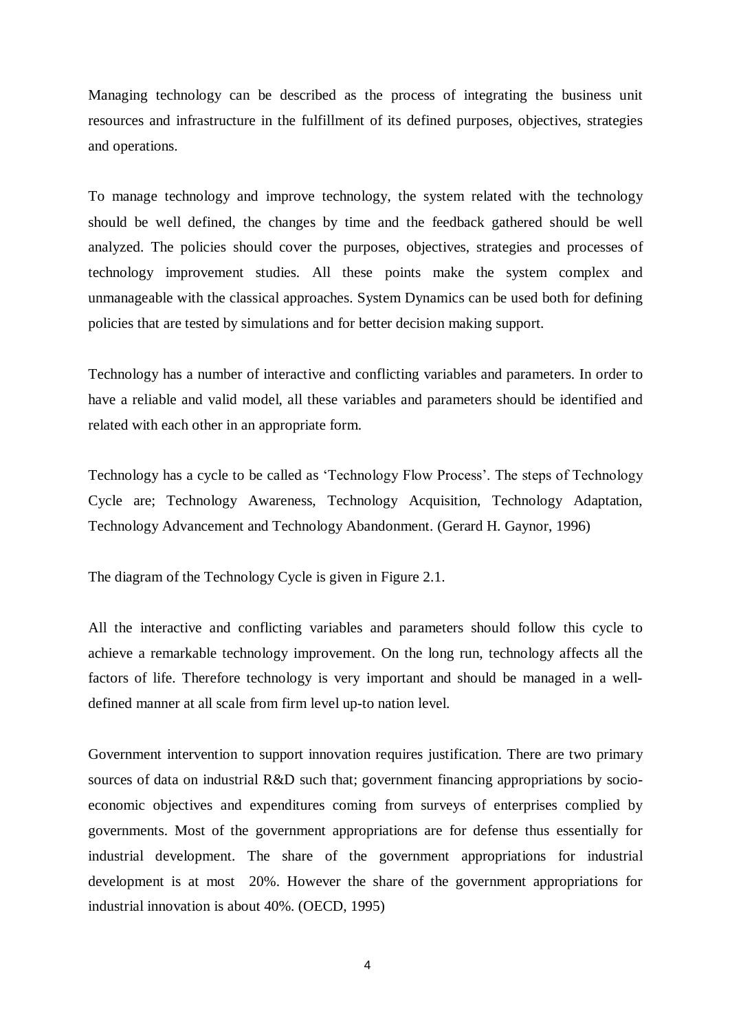Managing technology can be described as the process of integrating the business unit resources and infrastructure in the fulfillment of its defined purposes, objectives, strategies and operations.

To manage technology and improve technology, the system related with the technology should be well defined, the changes by time and the feedback gathered should be well analyzed. The policies should cover the purposes, objectives, strategies and processes of technology improvement studies. All these points make the system complex and unmanageable with the classical approaches. System Dynamics can be used both for defining policies that are tested by simulations and for better decision making support.

Technology has a number of interactive and conflicting variables and parameters. In order to have a reliable and valid model, all these variables and parameters should be identified and related with each other in an appropriate form.

Technology has a cycle to be called as 'Technology Flow Process'. The steps of Technology Cycle are; Technology Awareness, Technology Acquisition, Technology Adaptation, Technology Advancement and Technology Abandonment. (Gerard H. Gaynor, 1996)

The diagram of the Technology Cycle is given in Figure 2.1.

All the interactive and conflicting variables and parameters should follow this cycle to achieve a remarkable technology improvement. On the long run, technology affects all the factors of life. Therefore technology is very important and should be managed in a welldefined manner at all scale from firm level up-to nation level.

Government intervention to support innovation requires justification. There are two primary sources of data on industrial R&D such that; government financing appropriations by socioeconomic objectives and expenditures coming from surveys of enterprises complied by governments. Most of the government appropriations are for defense thus essentially for industrial development. The share of the government appropriations for industrial development is at most 20%. However the share of the government appropriations for industrial innovation is about 40%. (OECD, 1995)

4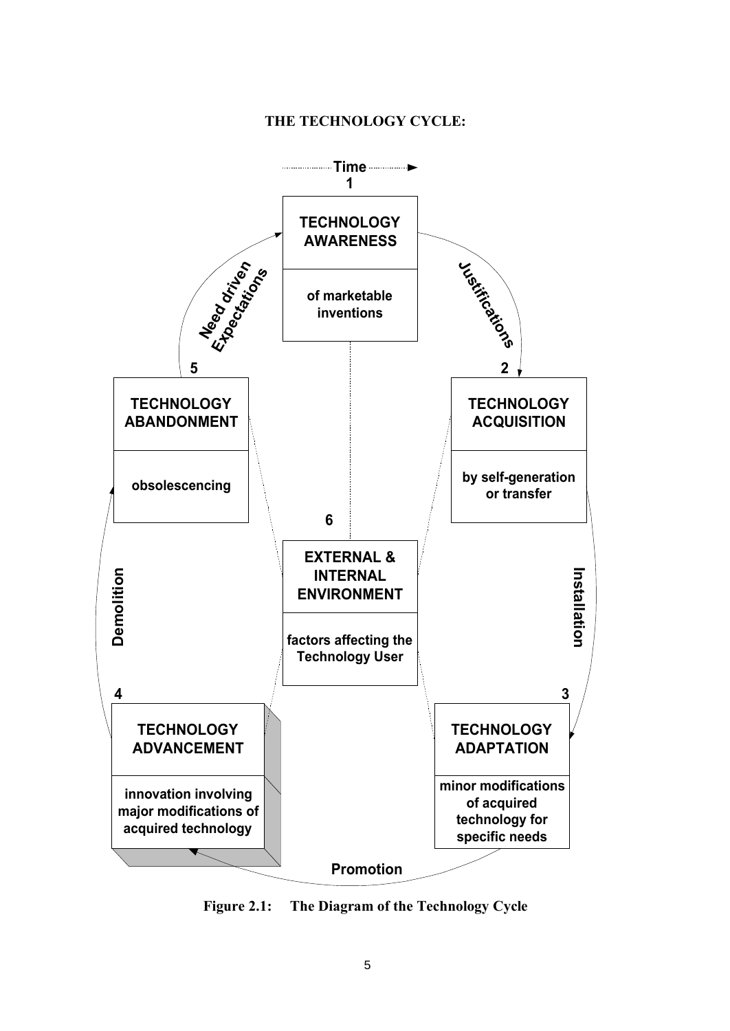## THE TECHNOLOGY CYCLE:



Figure 2.1: The Diagram of the Technology Cycle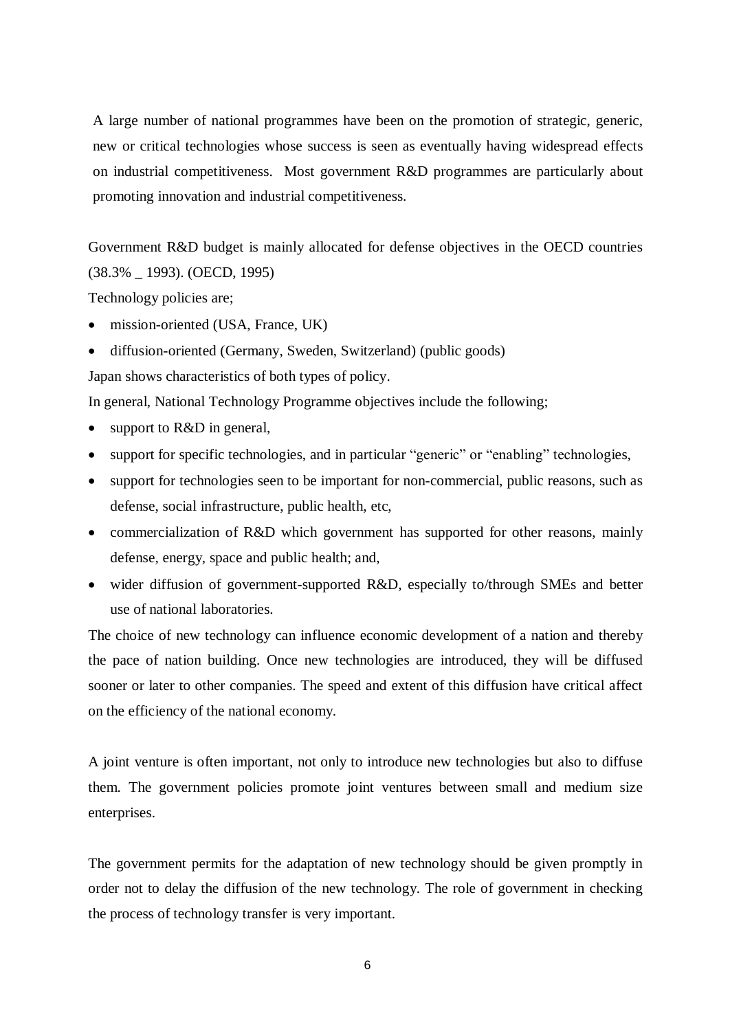A large number of national programmes have been on the promotion of strategic, generic, new or critical technologies whose success is seen as eventually having widespread effects on industrial competitiveness. Most government R&D programmes are particularly about promoting innovation and industrial competitiveness.

Government R&D budget is mainly allocated for defense objectives in the OECD countries (38.3% \_ 1993). (OECD, 1995)

Technology policies are;

- mission-oriented (USA, France, UK)
- diffusion-oriented (Germany, Sweden, Switzerland) (public goods)

Japan shows characteristics of both types of policy.

In general, National Technology Programme objectives include the following;

- support to R&D in general,
- support for specific technologies, and in particular "generic" or "enabling" technologies,
- support for technologies seen to be important for non-commercial, public reasons, such as defense, social infrastructure, public health, etc,
- commercialization of R&D which government has supported for other reasons, mainly defense, energy, space and public health; and,
- wider diffusion of government-supported R&D, especially to/through SMEs and better use of national laboratories.

The choice of new technology can influence economic development of a nation and thereby the pace of nation building. Once new technologies are introduced, they will be diffused sooner or later to other companies. The speed and extent of this diffusion have critical affect on the efficiency of the national economy.

A joint venture is often important, not only to introduce new technologies but also to diffuse them. The government policies promote joint ventures between small and medium size enterprises.

The government permits for the adaptation of new technology should be given promptly in order not to delay the diffusion of the new technology. The role of government in checking the process of technology transfer is very important.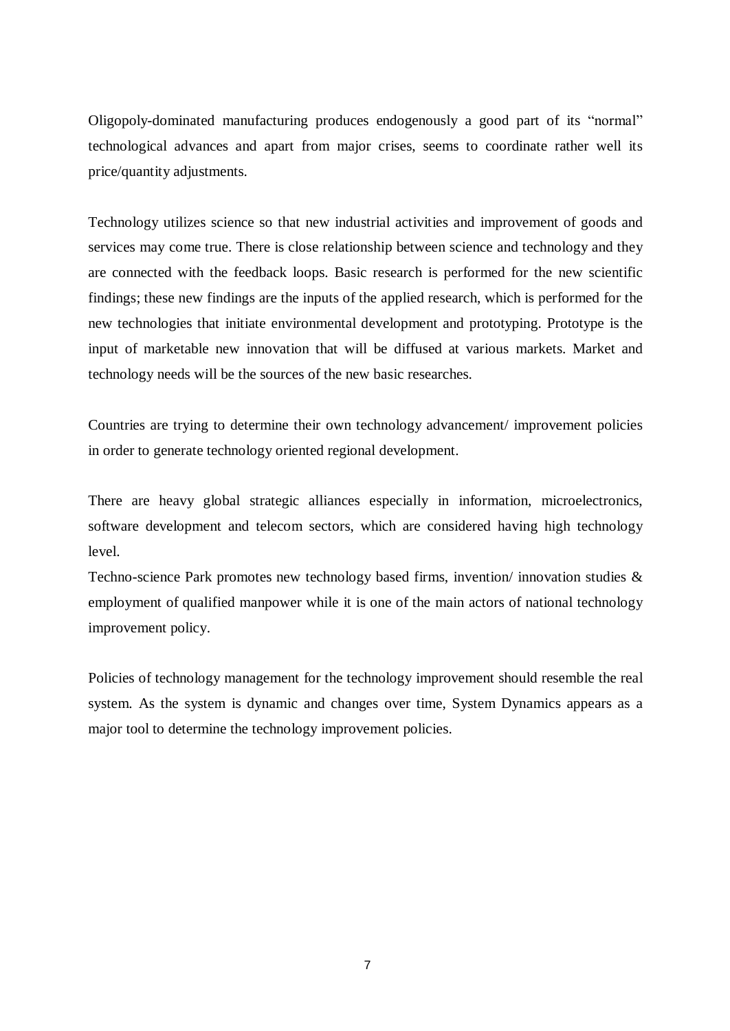Oligopoly-dominated manufacturing produces endogenously a good part of its "normal" technological advances and apart from major crises, seems to coordinate rather well its price/quantity adjustments.

Technology utilizes science so that new industrial activities and improvement of goods and services may come true. There is close relationship between science and technology and they are connected with the feedback loops. Basic research is performed for the new scientific findings; these new findings are the inputs of the applied research, which is performed for the new technologies that initiate environmental development and prototyping. Prototype is the input of marketable new innovation that will be diffused at various markets. Market and technology needs will be the sources of the new basic researches.

Countries are trying to determine their own technology advancement/ improvement policies in order to generate technology oriented regional development.

There are heavy global strategic alliances especially in information, microelectronics, software development and telecom sectors, which are considered having high technology level.

Techno-science Park promotes new technology based firms, invention/ innovation studies & employment of qualified manpower while it is one of the main actors of national technology improvement policy.

Policies of technology management for the technology improvement should resemble the real system. As the system is dynamic and changes over time, System Dynamics appears as a major tool to determine the technology improvement policies.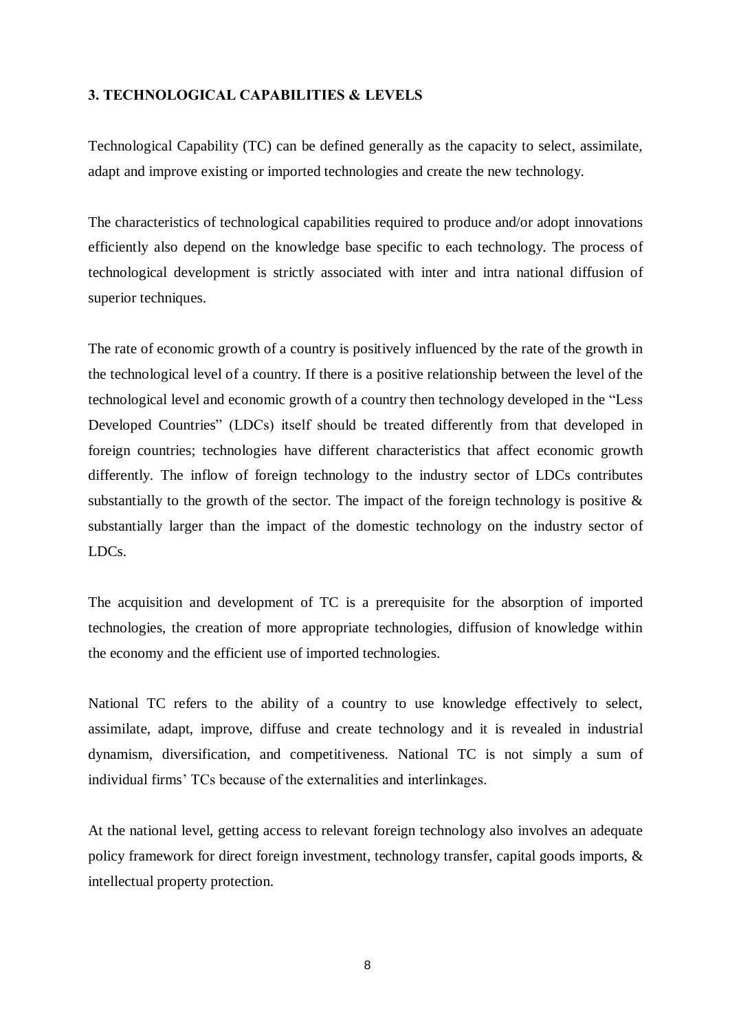## 3. TECHNOLOGICAL CAPABILITIES & LEVELS

Technological Capability (TC) can be defined generally as the capacity to select, assimilate, adapt and improve existing or imported technologies and create the new technology.

The characteristics of technological capabilities required to produce and/or adopt innovations efficiently also depend on the knowledge base specific to each technology. The process of technological development is strictly associated with inter and intra national diffusion of superior techniques.

The rate of economic growth of a country is positively influenced by the rate of the growth in the technological level of a country. If there is a positive relationship between the level of the technological level and economic growth of a country then technology developed in the "Less Developed Countries" (LDCs) itself should be treated differently from that developed in foreign countries; technologies have different characteristics that affect economic growth differently. The inflow of foreign technology to the industry sector of LDCs contributes substantially to the growth of the sector. The impact of the foreign technology is positive  $\&$ substantially larger than the impact of the domestic technology on the industry sector of LDCs.

The acquisition and development of TC is a prerequisite for the absorption of imported technologies, the creation of more appropriate technologies, diffusion of knowledge within the economy and the efficient use of imported technologies.

National TC refers to the ability of a country to use knowledge effectively to select, assimilate, adapt, improve, diffuse and create technology and it is revealed in industrial dynamism, diversification, and competitiveness. National TC is not simply a sum of individual firms<sup> $\cdot$ </sup> TCs because of the externalities and interlinkages.

At the national level, getting access to relevant foreign technology also involves an adequate policy framework for direct foreign investment, technology transfer, capital goods imports, & intellectual property protection.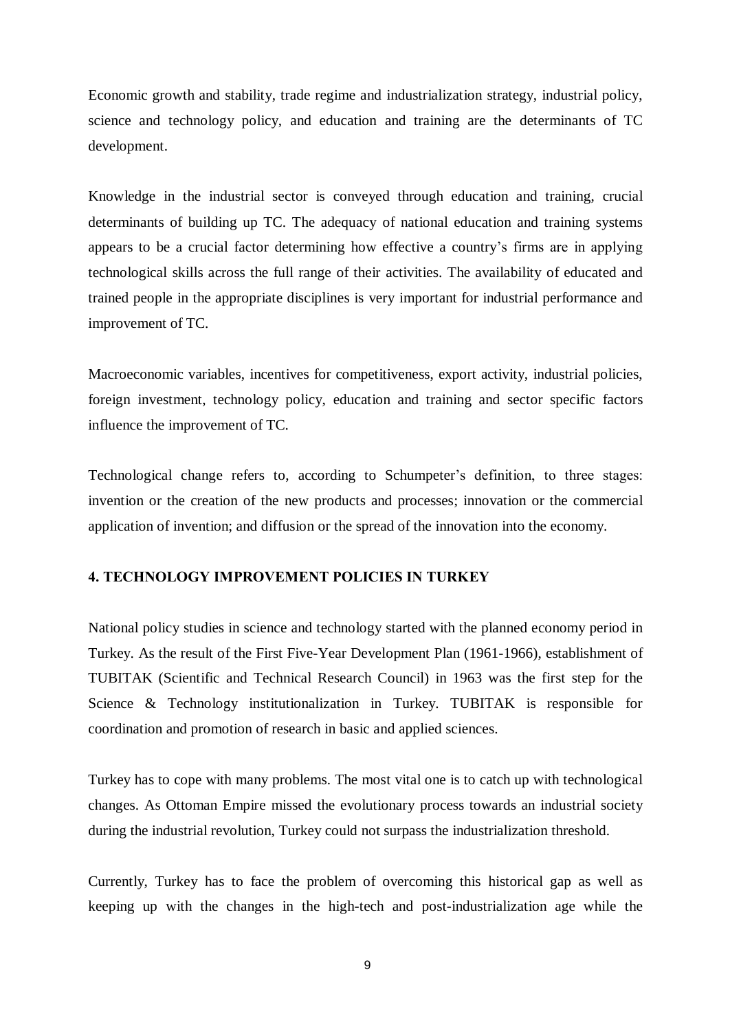Economic growth and stability, trade regime and industrialization strategy, industrial policy, science and technology policy, and education and training are the determinants of TC development.

Knowledge in the industrial sector is conveyed through education and training, crucial determinants of building up TC. The adequacy of national education and training systems appears to be a crucial factor determining how effective a countryís firms are in applying technological skills across the full range of their activities. The availability of educated and trained people in the appropriate disciplines is very important for industrial performance and improvement of TC.

Macroeconomic variables, incentives for competitiveness, export activity, industrial policies, foreign investment, technology policy, education and training and sector specific factors influence the improvement of TC.

Technological change refers to, according to Schumpeter's definition, to three stages: invention or the creation of the new products and processes; innovation or the commercial application of invention; and diffusion or the spread of the innovation into the economy.

## 4. TECHNOLOGY IMPROVEMENT POLICIES IN TURKEY

National policy studies in science and technology started with the planned economy period in Turkey. As the result of the First Five-Year Development Plan (1961-1966), establishment of TUBITAK (Scientific and Technical Research Council) in 1963 was the first step for the Science & Technology institutionalization in Turkey. TUBITAK is responsible for coordination and promotion of research in basic and applied sciences.

Turkey has to cope with many problems. The most vital one is to catch up with technological changes. As Ottoman Empire missed the evolutionary process towards an industrial society during the industrial revolution, Turkey could not surpass the industrialization threshold.

Currently, Turkey has to face the problem of overcoming this historical gap as well as keeping up with the changes in the high-tech and post-industrialization age while the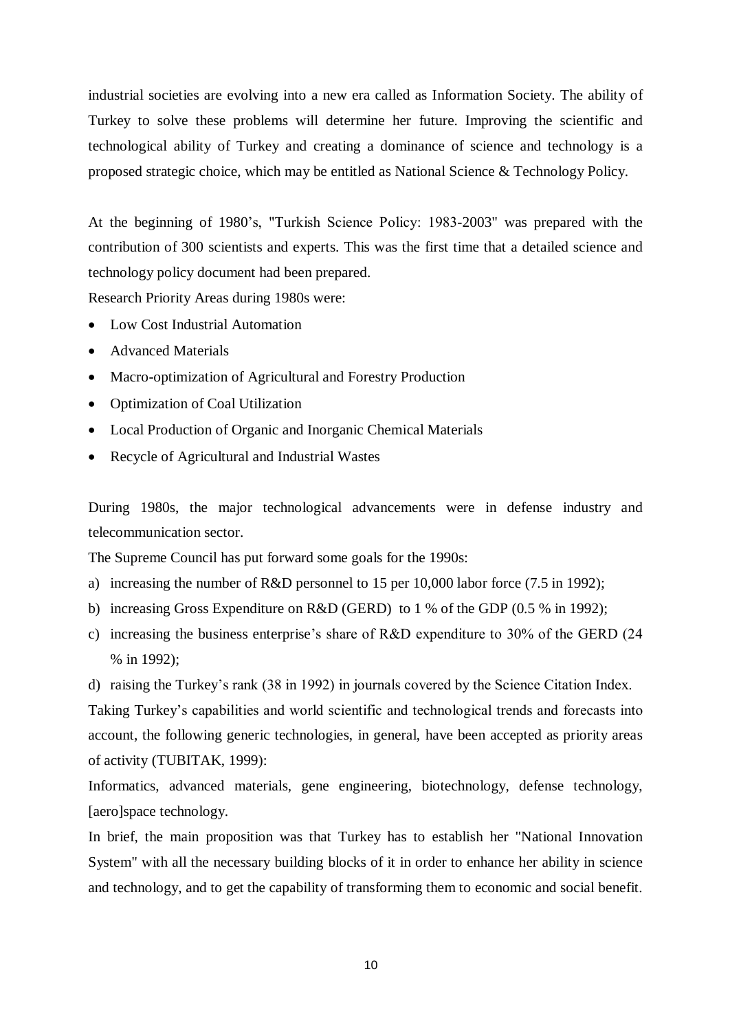industrial societies are evolving into a new era called as Information Society. The ability of Turkey to solve these problems will determine her future. Improving the scientific and technological ability of Turkey and creating a dominance of science and technology is a proposed strategic choice, which may be entitled as National Science & Technology Policy.

At the beginning of 1980's, "Turkish Science Policy: 1983-2003" was prepared with the contribution of 300 scientists and experts. This was the first time that a detailed science and technology policy document had been prepared.

Research Priority Areas during 1980s were:

- Low Cost Industrial Automation
- Advanced Materials
- Macro-optimization of Agricultural and Forestry Production
- Optimization of Coal Utilization
- Local Production of Organic and Inorganic Chemical Materials
- Recycle of Agricultural and Industrial Wastes

During 1980s, the major technological advancements were in defense industry and telecommunication sector.

The Supreme Council has put forward some goals for the 1990s:

- a) increasing the number of R&D personnel to 15 per 10,000 labor force (7.5 in 1992);
- b) increasing Gross Expenditure on R&D (GERD) to 1 % of the GDP (0.5 % in 1992);
- c) increasing the business enterprise's share of R&D expenditure to 30% of the GERD  $(24)$ % in 1992);

d) raising the Turkey's rank (38 in 1992) in journals covered by the Science Citation Index.

Taking Turkey's capabilities and world scientific and technological trends and forecasts into account, the following generic technologies, in general, have been accepted as priority areas of activity (TUBITAK, 1999):

Informatics, advanced materials, gene engineering, biotechnology, defense technology, [aero]space technology.

In brief, the main proposition was that Turkey has to establish her "National Innovation System" with all the necessary building blocks of it in order to enhance her ability in science and technology, and to get the capability of transforming them to economic and social benefit.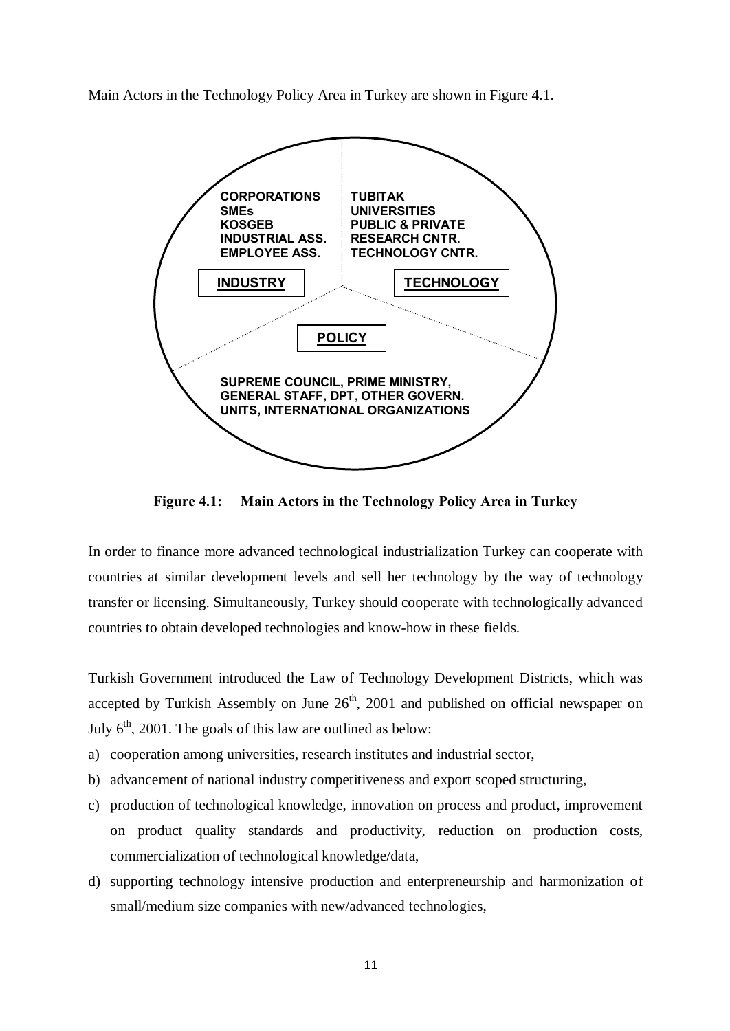Main Actors in the Technology Policy Area in Turkey are shown in Figure 4.1.



Figure 4.1: Main Actors in the Technology Policy Area in Turkey

In order to finance more advanced technological industrialization Turkey can cooperate with countries at similar development levels and sell her technology by the way of technology transfer or licensing. Simultaneously, Turkey should cooperate with technologically advanced countries to obtain developed technologies and know-how in these fields.

Turkish Government introduced the Law of Technology Development Districts, which was accepted by Turkish Assembly on June 26<sup>th</sup>, 2001 and published on official newspaper on July  $6<sup>th</sup>$ , 2001. The goals of this law are outlined as below:

- a) cooperation among universities, research institutes and industrial sector,
- b) advancement of national industry competitiveness and export scoped structuring,
- c) production of technological knowledge, innovation on process and product, improvement on product quality standards and productivity, reduction on production costs, commercialization of technological knowledge/data,
- d) supporting technology intensive production and enterpreneurship and harmonization of small/medium size companies with new/advanced technologies,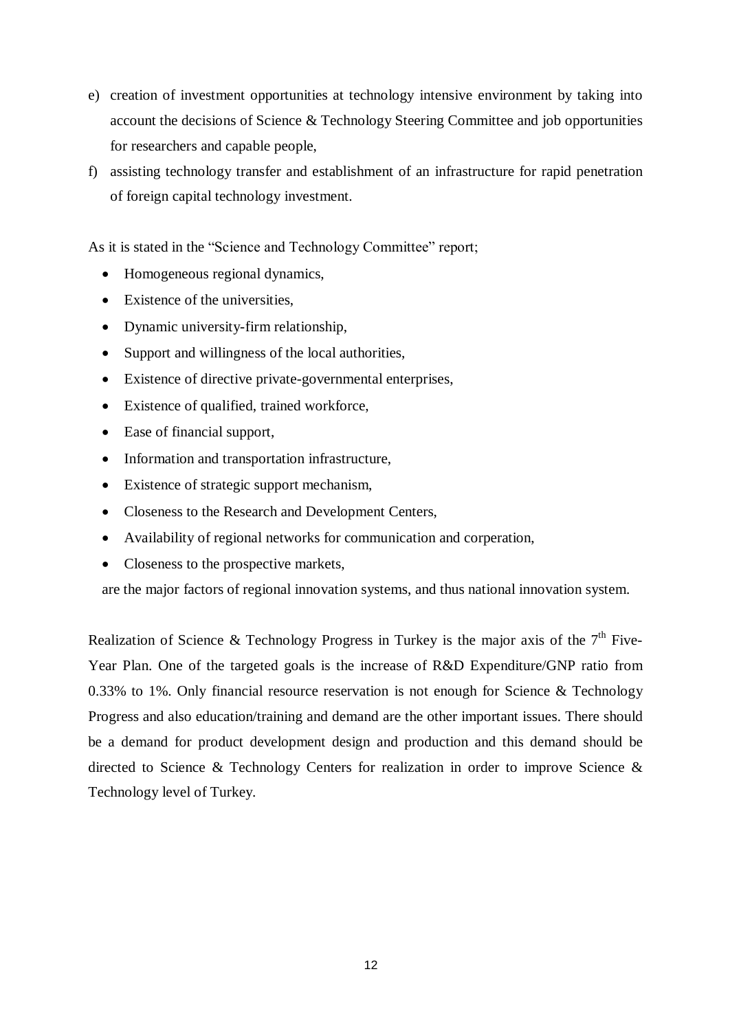- e) creation of investment opportunities at technology intensive environment by taking into account the decisions of Science & Technology Steering Committee and job opportunities for researchers and capable people,
- f) assisting technology transfer and establishment of an infrastructure for rapid penetration of foreign capital technology investment.

As it is stated in the "Science and Technology Committee" report;

- Homogeneous regional dynamics,
- Existence of the universities.
- Dynamic university-firm relationship,
- Support and willingness of the local authorities,
- Existence of directive private-governmental enterprises,
- Existence of qualified, trained workforce,
- Ease of financial support,
- Information and transportation infrastructure,
- Existence of strategic support mechanism,
- Closeness to the Research and Development Centers,
- Availability of regional networks for communication and corperation,
- Closeness to the prospective markets,

are the major factors of regional innovation systems, and thus national innovation system.

Realization of Science & Technology Progress in Turkey is the major axis of the  $7<sup>th</sup>$  Five-Year Plan. One of the targeted goals is the increase of R&D Expenditure/GNP ratio from 0.33% to 1%. Only financial resource reservation is not enough for Science & Technology Progress and also education/training and demand are the other important issues. There should be a demand for product development design and production and this demand should be directed to Science & Technology Centers for realization in order to improve Science & Technology level of Turkey.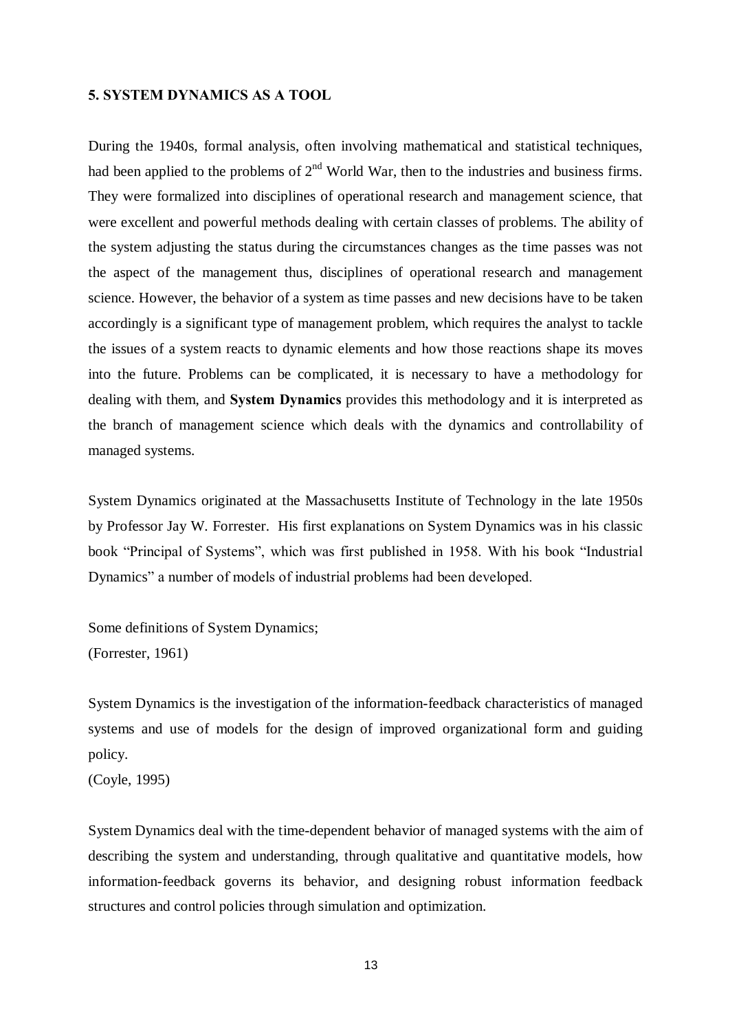#### 5. SYSTEM DYNAMICS AS A TOOL

During the 1940s, formal analysis, often involving mathematical and statistical techniques, had been applied to the problems of  $2<sup>nd</sup>$  World War, then to the industries and business firms. They were formalized into disciplines of operational research and management science, that were excellent and powerful methods dealing with certain classes of problems. The ability of the system adjusting the status during the circumstances changes as the time passes was not the aspect of the management thus, disciplines of operational research and management science. However, the behavior of a system as time passes and new decisions have to be taken accordingly is a significant type of management problem, which requires the analyst to tackle the issues of a system reacts to dynamic elements and how those reactions shape its moves into the future. Problems can be complicated, it is necessary to have a methodology for dealing with them, and System Dynamics provides this methodology and it is interpreted as the branch of management science which deals with the dynamics and controllability of managed systems.

System Dynamics originated at the Massachusetts Institute of Technology in the late 1950s by Professor Jay W. Forrester. His first explanations on System Dynamics was in his classic book "Principal of Systems", which was first published in 1958. With his book "Industrial" Dynamics" a number of models of industrial problems had been developed.

Some definitions of System Dynamics; (Forrester, 1961)

System Dynamics is the investigation of the information-feedback characteristics of managed systems and use of models for the design of improved organizational form and guiding policy.

(Coyle, 1995)

System Dynamics deal with the time-dependent behavior of managed systems with the aim of describing the system and understanding, through qualitative and quantitative models, how information-feedback governs its behavior, and designing robust information feedback structures and control policies through simulation and optimization.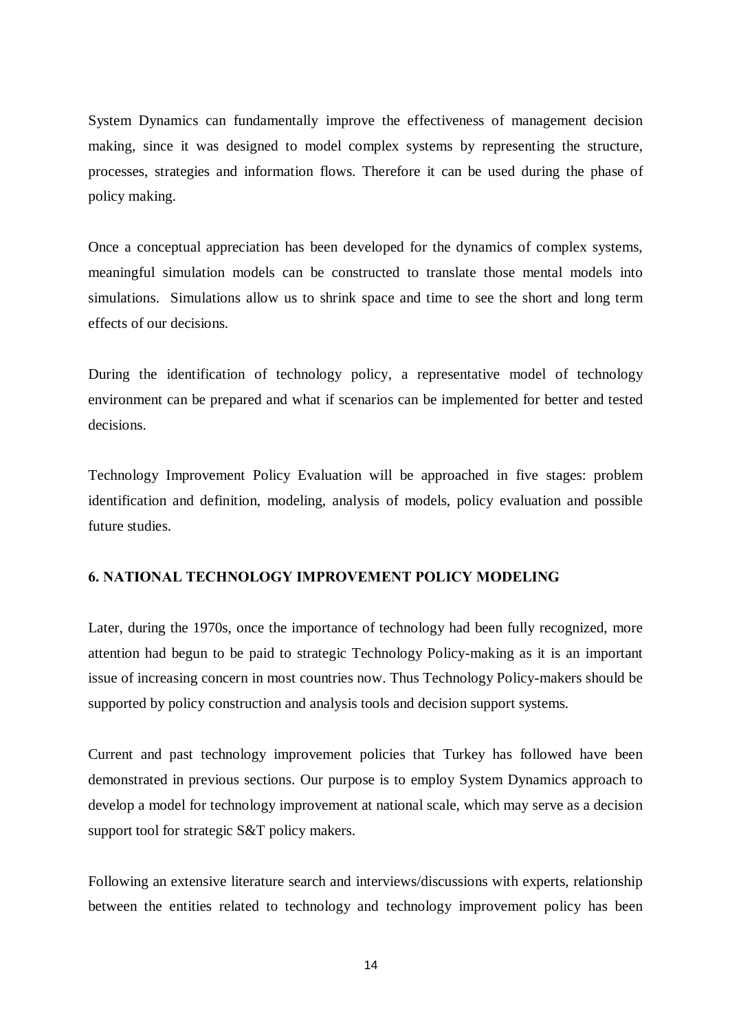System Dynamics can fundamentally improve the effectiveness of management decision making, since it was designed to model complex systems by representing the structure, processes, strategies and information flows. Therefore it can be used during the phase of policy making.

Once a conceptual appreciation has been developed for the dynamics of complex systems, meaningful simulation models can be constructed to translate those mental models into simulations. Simulations allow us to shrink space and time to see the short and long term effects of our decisions.

During the identification of technology policy, a representative model of technology environment can be prepared and what if scenarios can be implemented for better and tested decisions.

Technology Improvement Policy Evaluation will be approached in five stages: problem identification and definition, modeling, analysis of models, policy evaluation and possible future studies.

## 6. NATIONAL TECHNOLOGY IMPROVEMENT POLICY MODELING

Later, during the 1970s, once the importance of technology had been fully recognized, more attention had begun to be paid to strategic Technology Policy-making as it is an important issue of increasing concern in most countries now. Thus Technology Policy-makers should be supported by policy construction and analysis tools and decision support systems.

Current and past technology improvement policies that Turkey has followed have been demonstrated in previous sections. Our purpose is to employ System Dynamics approach to develop a model for technology improvement at national scale, which may serve as a decision support tool for strategic S&T policy makers.

Following an extensive literature search and interviews/discussions with experts, relationship between the entities related to technology and technology improvement policy has been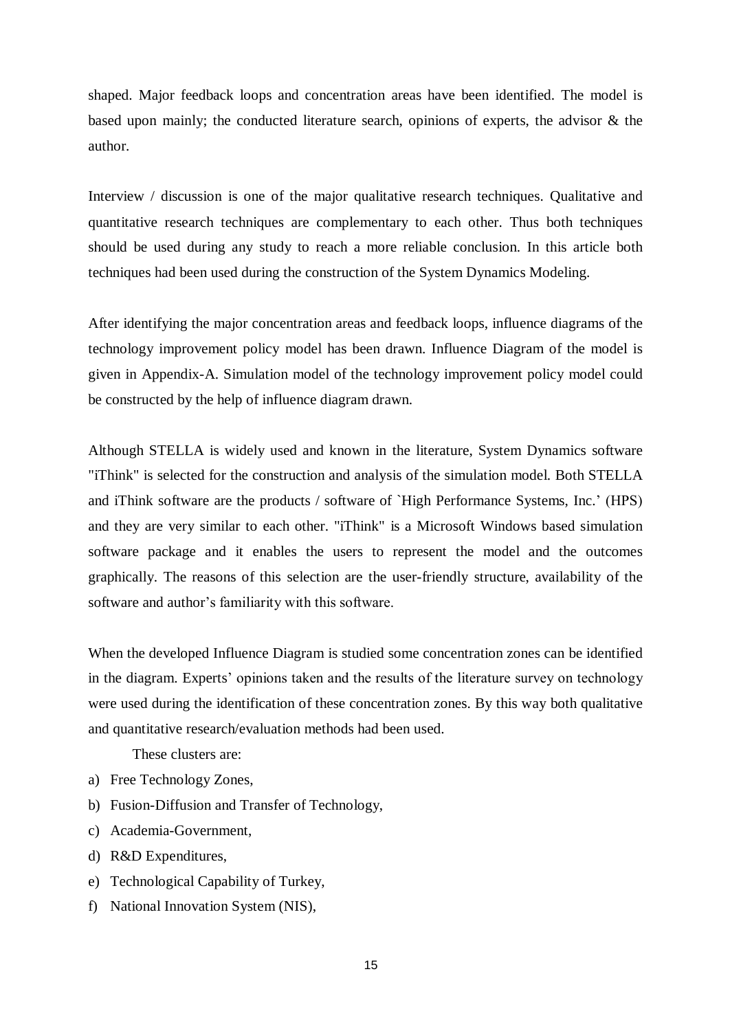shaped. Major feedback loops and concentration areas have been identified. The model is based upon mainly; the conducted literature search, opinions of experts, the advisor & the author.

Interview / discussion is one of the major qualitative research techniques. Qualitative and quantitative research techniques are complementary to each other. Thus both techniques should be used during any study to reach a more reliable conclusion. In this article both techniques had been used during the construction of the System Dynamics Modeling.

After identifying the major concentration areas and feedback loops, influence diagrams of the technology improvement policy model has been drawn. Influence Diagram of the model is given in Appendix-A. Simulation model of the technology improvement policy model could be constructed by the help of influence diagram drawn.

Although STELLA is widely used and known in the literature, System Dynamics software "iThink" is selected for the construction and analysis of the simulation model. Both STELLA and iThink software are the products / software of `High Performance Systems, Inc.' (HPS) and they are very similar to each other. "iThink" is a Microsoft Windows based simulation software package and it enables the users to represent the model and the outcomes graphically. The reasons of this selection are the user-friendly structure, availability of the software and author's familiarity with this software.

When the developed Influence Diagram is studied some concentration zones can be identified in the diagram. Experts' opinions taken and the results of the literature survey on technology were used during the identification of these concentration zones. By this way both qualitative and quantitative research/evaluation methods had been used.

These clusters are:

- a) Free Technology Zones,
- b) Fusion-Diffusion and Transfer of Technology,
- c) Academia-Government,
- d) R&D Expenditures,
- e) Technological Capability of Turkey,
- f) National Innovation System (NIS),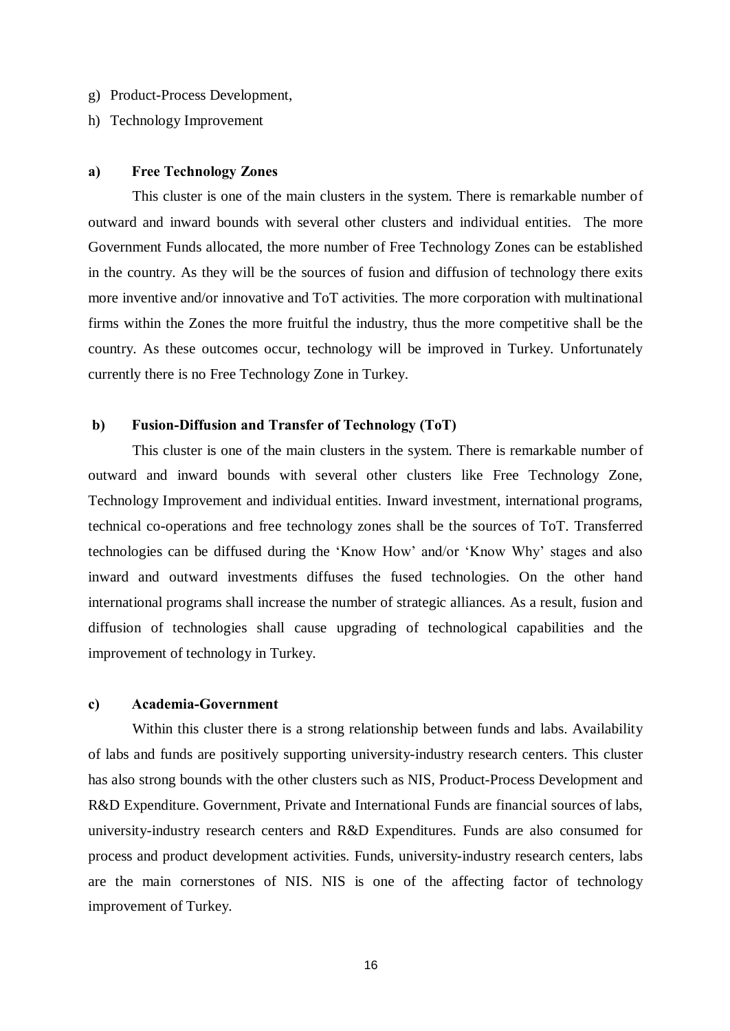- g) Product-Process Development,
- h) Technology Improvement

#### a) Free Technology Zones

This cluster is one of the main clusters in the system. There is remarkable number of outward and inward bounds with several other clusters and individual entities. The more Government Funds allocated, the more number of Free Technology Zones can be established in the country. As they will be the sources of fusion and diffusion of technology there exits more inventive and/or innovative and ToT activities. The more corporation with multinational firms within the Zones the more fruitful the industry, thus the more competitive shall be the country. As these outcomes occur, technology will be improved in Turkey. Unfortunately currently there is no Free Technology Zone in Turkey.

#### b) Fusion-Diffusion and Transfer of Technology (ToT)

This cluster is one of the main clusters in the system. There is remarkable number of outward and inward bounds with several other clusters like Free Technology Zone, Technology Improvement and individual entities. Inward investment, international programs, technical co-operations and free technology zones shall be the sources of ToT. Transferred technologies can be diffused during the 'Know How' and/or 'Know Why' stages and also inward and outward investments diffuses the fused technologies. On the other hand international programs shall increase the number of strategic alliances. As a result, fusion and diffusion of technologies shall cause upgrading of technological capabilities and the improvement of technology in Turkey.

#### c) Academia-Government

Within this cluster there is a strong relationship between funds and labs. Availability of labs and funds are positively supporting university-industry research centers. This cluster has also strong bounds with the other clusters such as NIS, Product-Process Development and R&D Expenditure. Government, Private and International Funds are financial sources of labs, university-industry research centers and R&D Expenditures. Funds are also consumed for process and product development activities. Funds, university-industry research centers, labs are the main cornerstones of NIS. NIS is one of the affecting factor of technology improvement of Turkey.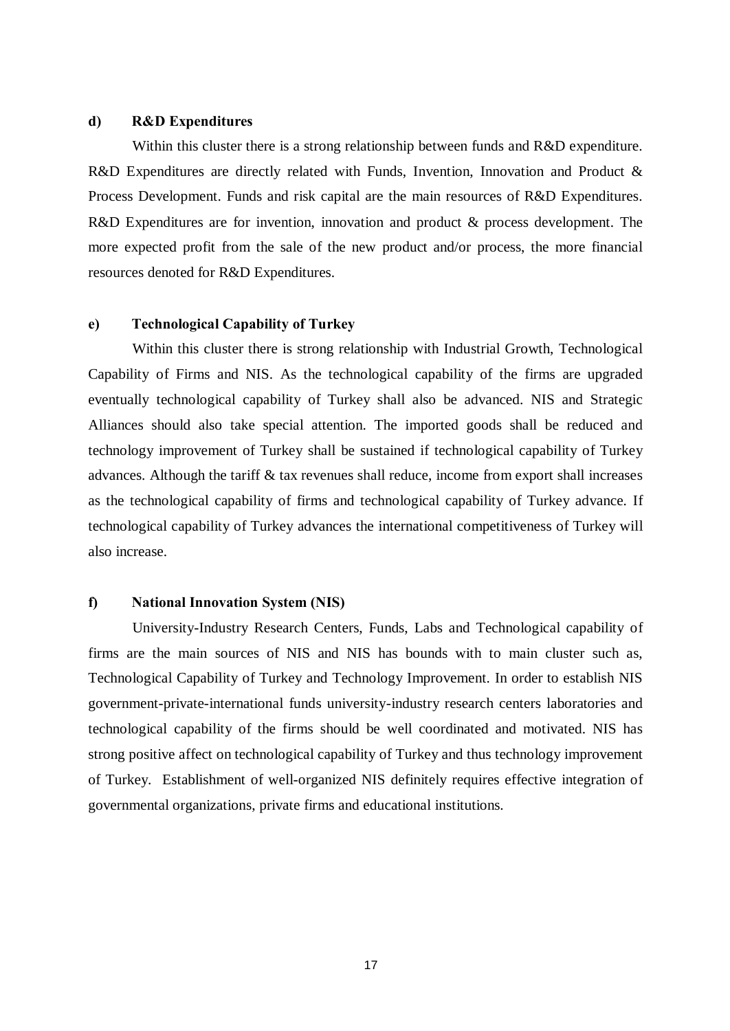#### d) R&D Expenditures

Within this cluster there is a strong relationship between funds and R&D expenditure. R&D Expenditures are directly related with Funds, Invention, Innovation and Product & Process Development. Funds and risk capital are the main resources of R&D Expenditures. R&D Expenditures are for invention, innovation and product & process development. The more expected profit from the sale of the new product and/or process, the more financial resources denoted for R&D Expenditures.

### e) Technological Capability of Turkey

Within this cluster there is strong relationship with Industrial Growth, Technological Capability of Firms and NIS. As the technological capability of the firms are upgraded eventually technological capability of Turkey shall also be advanced. NIS and Strategic Alliances should also take special attention. The imported goods shall be reduced and technology improvement of Turkey shall be sustained if technological capability of Turkey advances. Although the tariff & tax revenues shall reduce, income from export shall increases as the technological capability of firms and technological capability of Turkey advance. If technological capability of Turkey advances the international competitiveness of Turkey will also increase.

## f) National Innovation System (NIS)

University-Industry Research Centers, Funds, Labs and Technological capability of firms are the main sources of NIS and NIS has bounds with to main cluster such as, Technological Capability of Turkey and Technology Improvement. In order to establish NIS government-private-international funds university-industry research centers laboratories and technological capability of the firms should be well coordinated and motivated. NIS has strong positive affect on technological capability of Turkey and thus technology improvement of Turkey. Establishment of well-organized NIS definitely requires effective integration of governmental organizations, private firms and educational institutions.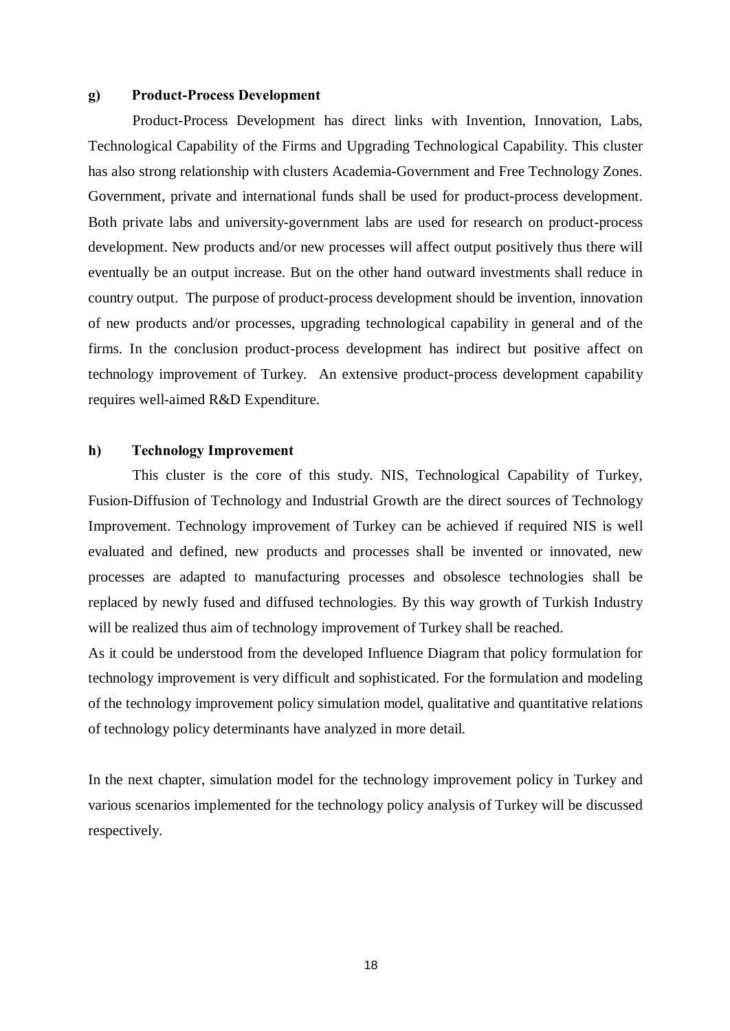#### g) Product-Process Development

Product-Process Development has direct links with Invention, Innovation, Labs, Technological Capability of the Firms and Upgrading Technological Capability. This cluster has also strong relationship with clusters Academia-Government and Free Technology Zones. Government, private and international funds shall be used for product-process development. Both private labs and university-government labs are used for research on product-process development. New products and/or new processes will affect output positively thus there will eventually be an output increase. But on the other hand outward investments shall reduce in country output. The purpose of product-process development should be invention, innovation of new products and/or processes, upgrading technological capability in general and of the firms. In the conclusion product-process development has indirect but positive affect on technology improvement of Turkey. An extensive product-process development capability requires well-aimed R&D Expenditure.

#### h) Technology Improvement

This cluster is the core of this study. NIS, Technological Capability of Turkey, Fusion-Diffusion of Technology and Industrial Growth are the direct sources of Technology Improvement. Technology improvement of Turkey can be achieved if required NIS is well evaluated and defined, new products and processes shall be invented or innovated, new processes are adapted to manufacturing processes and obsolesce technologies shall be replaced by newly fused and diffused technologies. By this way growth of Turkish Industry will be realized thus aim of technology improvement of Turkey shall be reached.

As it could be understood from the developed Influence Diagram that policy formulation for technology improvement is very difficult and sophisticated. For the formulation and modeling of the technology improvement policy simulation model, qualitative and quantitative relations of technology policy determinants have analyzed in more detail.

In the next chapter, simulation model for the technology improvement policy in Turkey and various scenarios implemented for the technology policy analysis of Turkey will be discussed respectively.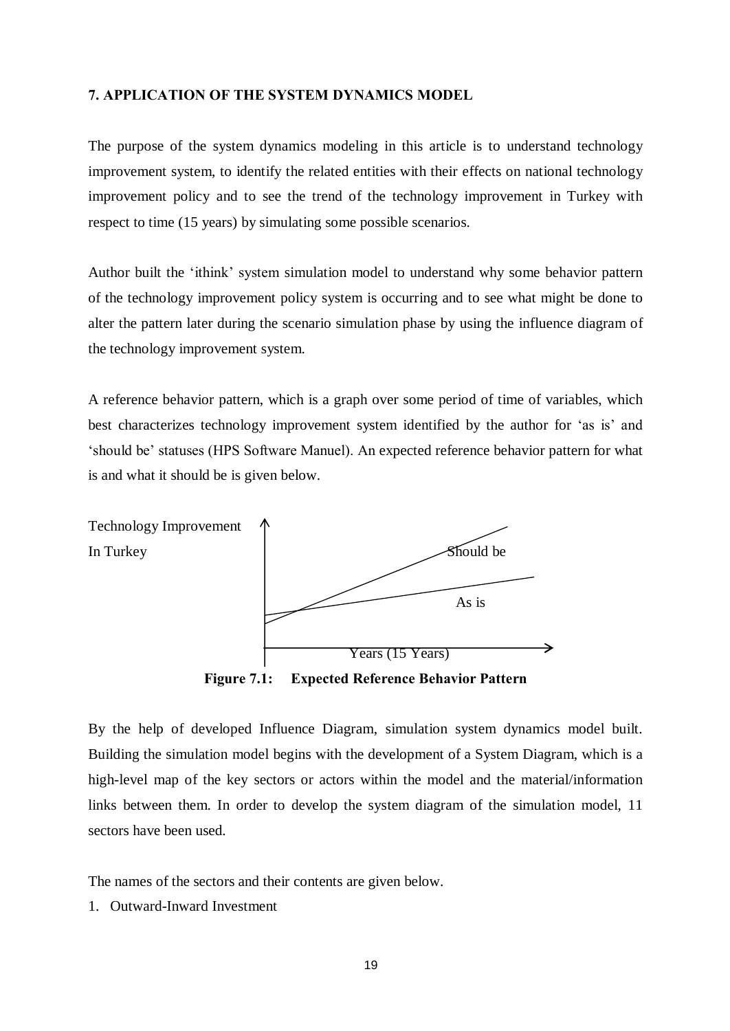#### 7. APPLICATION OF THE SYSTEM DYNAMICS MODEL

The purpose of the system dynamics modeling in this article is to understand technology improvement system, to identify the related entities with their effects on national technology improvement policy and to see the trend of the technology improvement in Turkey with respect to time (15 years) by simulating some possible scenarios.

Author built the 'ithink' system simulation model to understand why some behavior pattern of the technology improvement policy system is occurring and to see what might be done to alter the pattern later during the scenario simulation phase by using the influence diagram of the technology improvement system.

A reference behavior pattern, which is a graph over some period of time of variables, which best characterizes technology improvement system identified by the author for 'as is' and 'should be' statuses (HPS Software Manuel). An expected reference behavior pattern for what is and what it should be is given below.



Figure 7.1: Expected Reference Behavior Pattern

By the help of developed Influence Diagram, simulation system dynamics model built. Building the simulation model begins with the development of a System Diagram, which is a high-level map of the key sectors or actors within the model and the material/information links between them. In order to develop the system diagram of the simulation model, 11 sectors have been used.

The names of the sectors and their contents are given below.

1. Outward-Inward Investment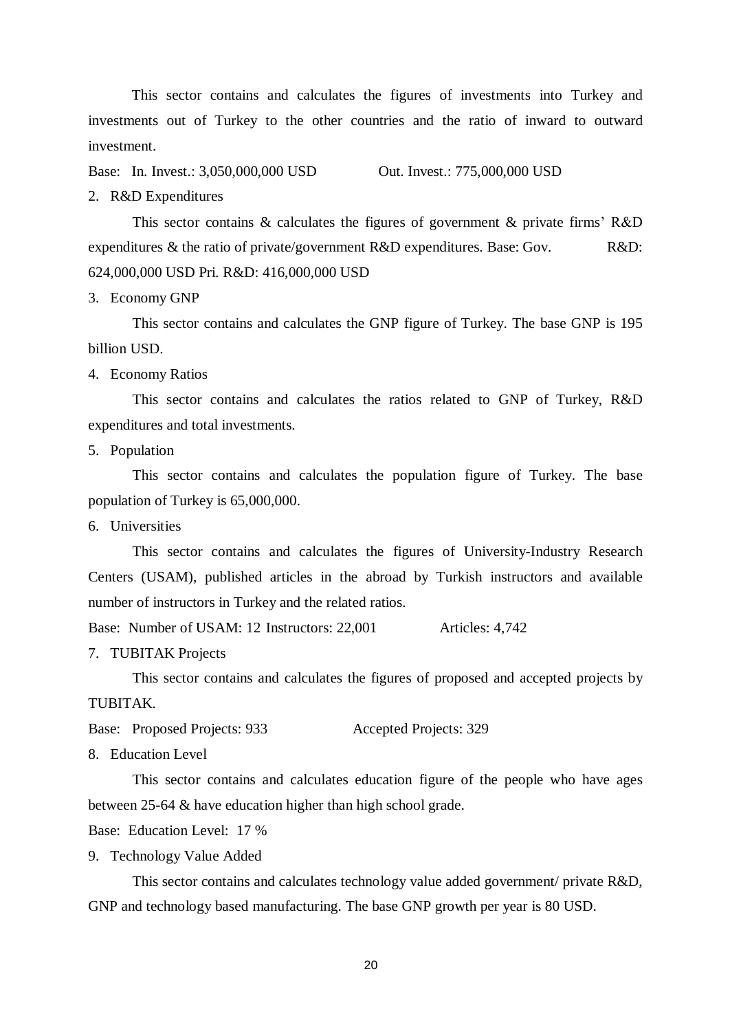This sector contains and calculates the figures of investments into Turkey and investments out of Turkey to the other countries and the ratio of inward to outward investment.

Base: In. Invest.: 3,050,000,000 USD Out. Invest.: 775,000,000 USD

#### 2. R&D Expenditures

This sector contains  $\&$  calculates the figures of government  $\&$  private firms' R&D expenditures & the ratio of private/government R&D expenditures. Base: Gov. R&D: 624,000,000 USD Pri. R&D: 416,000,000 USD

3. Economy GNP

This sector contains and calculates the GNP figure of Turkey. The base GNP is 195 billion USD.

4. Economy Ratios

This sector contains and calculates the ratios related to GNP of Turkey, R&D expenditures and total investments.

5. Population

This sector contains and calculates the population figure of Turkey. The base population of Turkey is 65,000,000.

6. Universities

This sector contains and calculates the figures of University-Industry Research Centers (USAM), published articles in the abroad by Turkish instructors and available number of instructors in Turkey and the related ratios.

Base: Number of USAM: 12 Instructors: 22,001 Articles: 4,742

7. TUBITAK Projects

This sector contains and calculates the figures of proposed and accepted projects by TUBITAK.

Base: Proposed Projects: 933 Accepted Projects: 329

8. Education Level

This sector contains and calculates education figure of the people who have ages between 25-64 & have education higher than high school grade.

Base: Education Level: 17 %

9. Technology Value Added

This sector contains and calculates technology value added government/ private R&D, GNP and technology based manufacturing. The base GNP growth per year is 80 USD.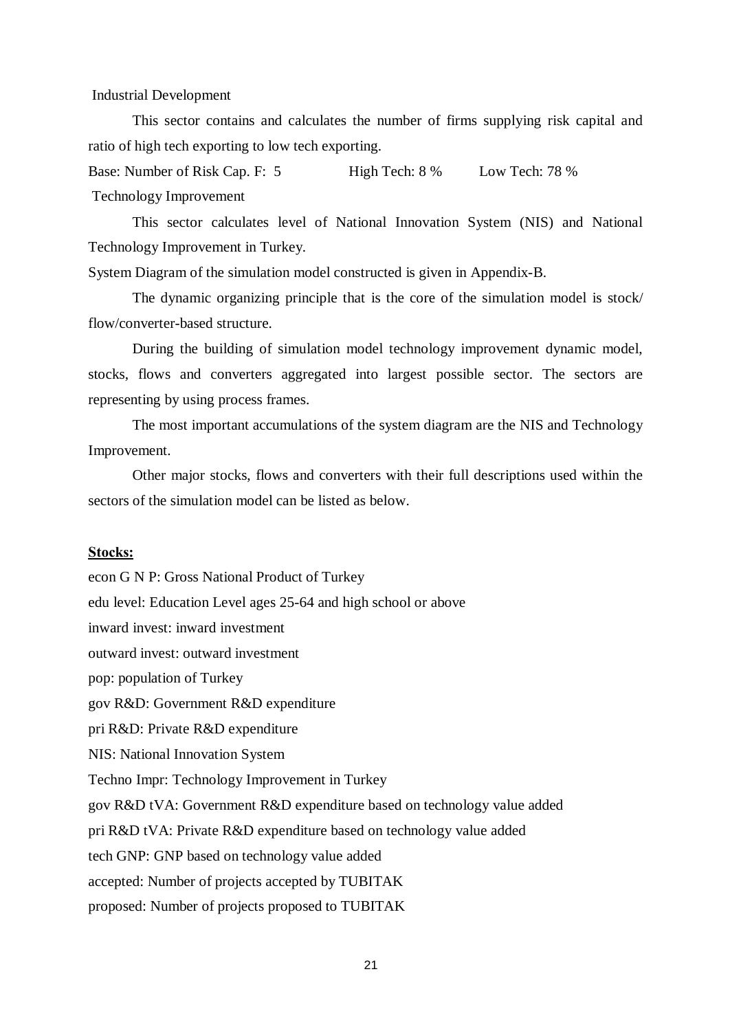Industrial Development

This sector contains and calculates the number of firms supplying risk capital and ratio of high tech exporting to low tech exporting.

Base: Number of Risk Cap. F: 5 High Tech: 8 % Low Tech: 78 % Technology Improvement

This sector calculates level of National Innovation System (NIS) and National Technology Improvement in Turkey.

System Diagram of the simulation model constructed is given in Appendix-B.

The dynamic organizing principle that is the core of the simulation model is stock/ flow/converter-based structure.

During the building of simulation model technology improvement dynamic model, stocks, flows and converters aggregated into largest possible sector. The sectors are representing by using process frames.

The most important accumulations of the system diagram are the NIS and Technology Improvement.

Other major stocks, flows and converters with their full descriptions used within the sectors of the simulation model can be listed as below.

### Stocks:

econ G N P: Gross National Product of Turkey edu level: Education Level ages 25-64 and high school or above inward invest: inward investment outward invest: outward investment pop: population of Turkey gov R&D: Government R&D expenditure pri R&D: Private R&D expenditure NIS: National Innovation System Techno Impr: Technology Improvement in Turkey gov R&D tVA: Government R&D expenditure based on technology value added pri R&D tVA: Private R&D expenditure based on technology value added tech GNP: GNP based on technology value added accepted: Number of projects accepted by TUBITAK proposed: Number of projects proposed to TUBITAK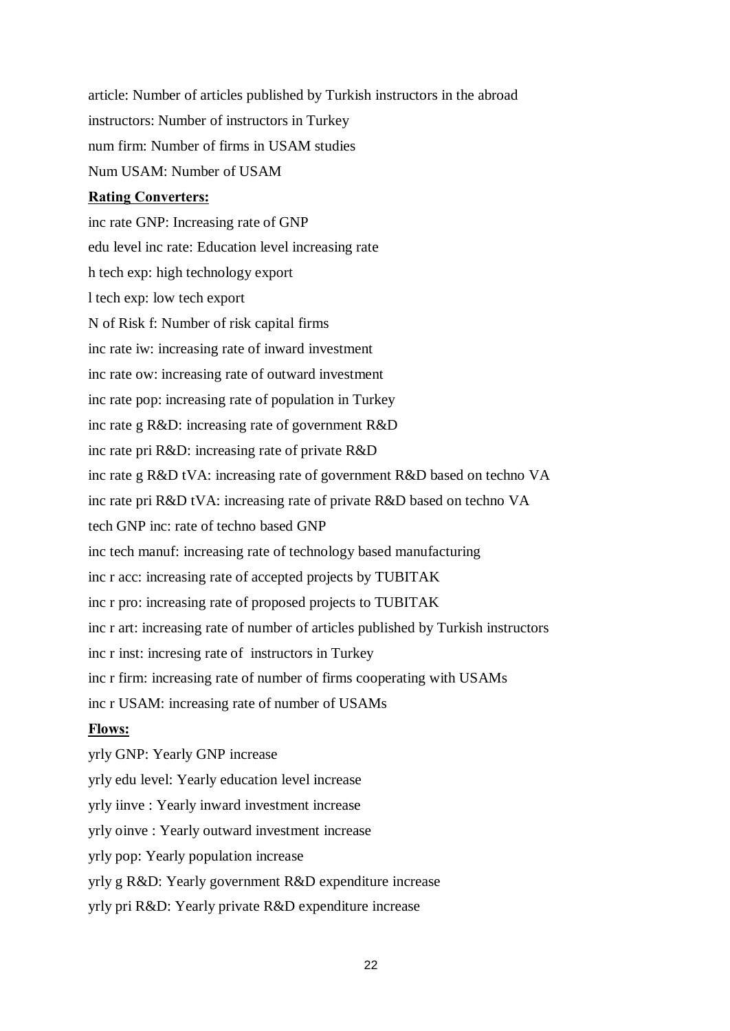article: Number of articles published by Turkish instructors in the abroad instructors: Number of instructors in Turkey num firm: Number of firms in USAM studies Num USAM: Number of USAM

## Rating Converters:

inc rate GNP: Increasing rate of GNP edu level inc rate: Education level increasing rate h tech exp: high technology export l tech exp: low tech export N of Risk f: Number of risk capital firms inc rate iw: increasing rate of inward investment inc rate ow: increasing rate of outward investment inc rate pop: increasing rate of population in Turkey inc rate g R&D: increasing rate of government R&D inc rate pri R&D: increasing rate of private R&D inc rate g R&D tVA: increasing rate of government R&D based on techno VA inc rate pri R&D tVA: increasing rate of private R&D based on techno VA tech GNP inc: rate of techno based GNP inc tech manuf: increasing rate of technology based manufacturing inc r acc: increasing rate of accepted projects by TUBITAK inc r pro: increasing rate of proposed projects to TUBITAK inc r art: increasing rate of number of articles published by Turkish instructors inc r inst: incresing rate of instructors in Turkey inc r firm: increasing rate of number of firms cooperating with USAMs inc r USAM: increasing rate of number of USAMs Flows: yrly GNP: Yearly GNP increase yrly edu level: Yearly education level increase yrly iinve : Yearly inward investment increase yrly oinve :Yearly outward investment increase

yrly pop: Yearly population increase

yrly g R&D: Yearly government R&D expenditure increase

yrly pri R&D: Yearly private R&D expenditure increase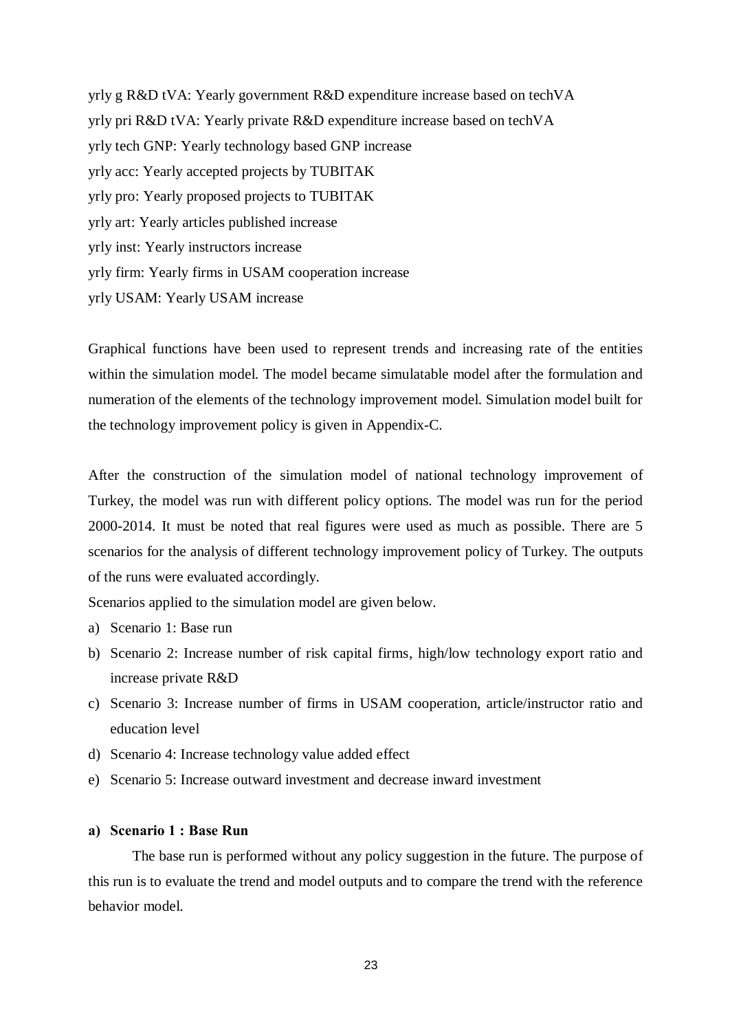yrly g R&D tVA: Yearly government R&D expenditure increase based on techVA yrly pri R&D tVA: Yearly private R&D expenditure increase based on techVA yrly tech GNP: Yearly technology based GNP increase yrly acc: Yearly accepted projects by TUBITAK yrly pro: Yearly proposed projects to TUBITAK yrly art: Yearly articles published increase yrly inst: Yearly instructors increase yrly firm: Yearly firms in USAM cooperation increase yrly USAM: Yearly USAM increase

Graphical functions have been used to represent trends and increasing rate of the entities within the simulation model. The model became simulatable model after the formulation and numeration of the elements of the technology improvement model. Simulation model built for the technology improvement policy is given in Appendix-C.

After the construction of the simulation model of national technology improvement of Turkey, the model was run with different policy options. The model was run for the period 2000-2014. It must be noted that real figures were used as much as possible. There are 5 scenarios for the analysis of different technology improvement policy of Turkey. The outputs of the runs were evaluated accordingly.

Scenarios applied to the simulation model are given below.

- a) Scenario 1: Base run
- b) Scenario 2: Increase number of risk capital firms, high/low technology export ratio and increase private R&D
- c) Scenario 3: Increase number of firms in USAM cooperation, article/instructor ratio and education level
- d) Scenario 4: Increase technology value added effect
- e) Scenario 5: Increase outward investment and decrease inward investment

#### a) Scenario 1 : Base Run

The base run is performed without any policy suggestion in the future. The purpose of this run is to evaluate the trend and model outputs and to compare the trend with the reference behavior model.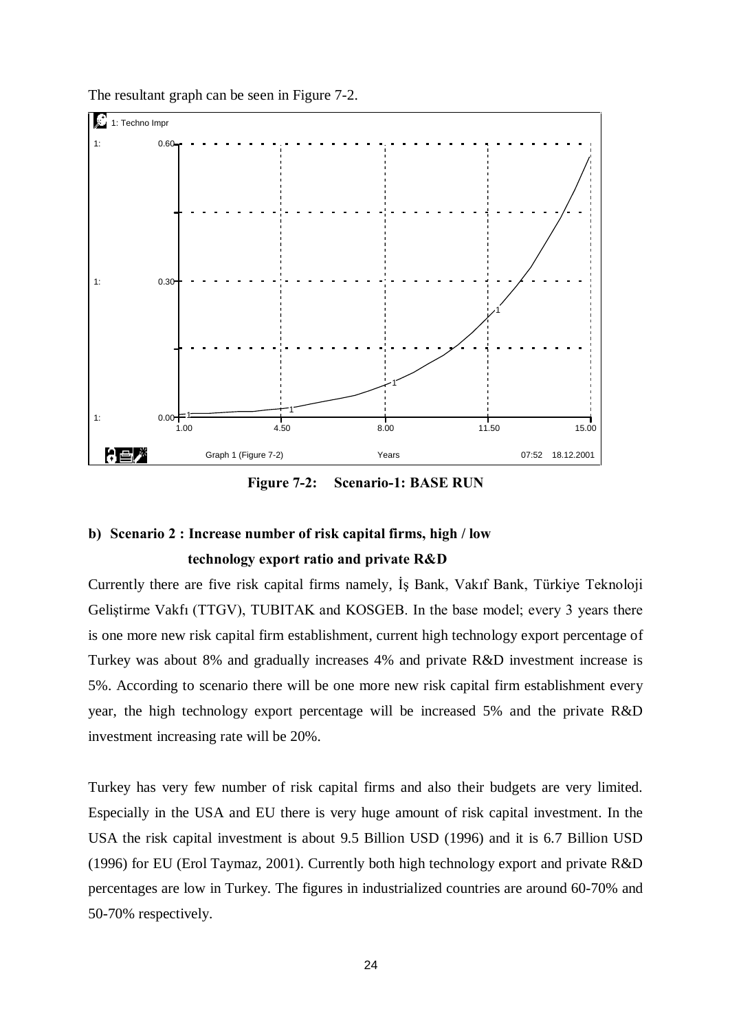



Figure 7-2: Scenario-1: BASE RUN

# b) Scenario 2 : Increase number of risk capital firms, high / low

#### technology export ratio and private R&D

Currently there are five risk capital firms namely, Is Bank, Vakif Bank, Türkiye Teknoloji Geliştirme Vakfı (TTGV), TUBITAK and KOSGEB. In the base model; every 3 years there is one more new risk capital firm establishment, current high technology export percentage of Turkey was about 8% and gradually increases 4% and private R&D investment increase is 5%. According to scenario there will be one more new risk capital firm establishment every year, the high technology export percentage will be increased 5% and the private R&D investment increasing rate will be 20%.

Turkey has very few number of risk capital firms and also their budgets are very limited. Especially in the USA and EU there is very huge amount of risk capital investment. In the USA the risk capital investment is about 9.5 Billion USD (1996) and it is 6.7 Billion USD (1996) for EU (Erol Taymaz, 2001). Currently both high technology export and private R&D percentages are low in Turkey. The figures in industrialized countries are around 60-70% and 50-70% respectively.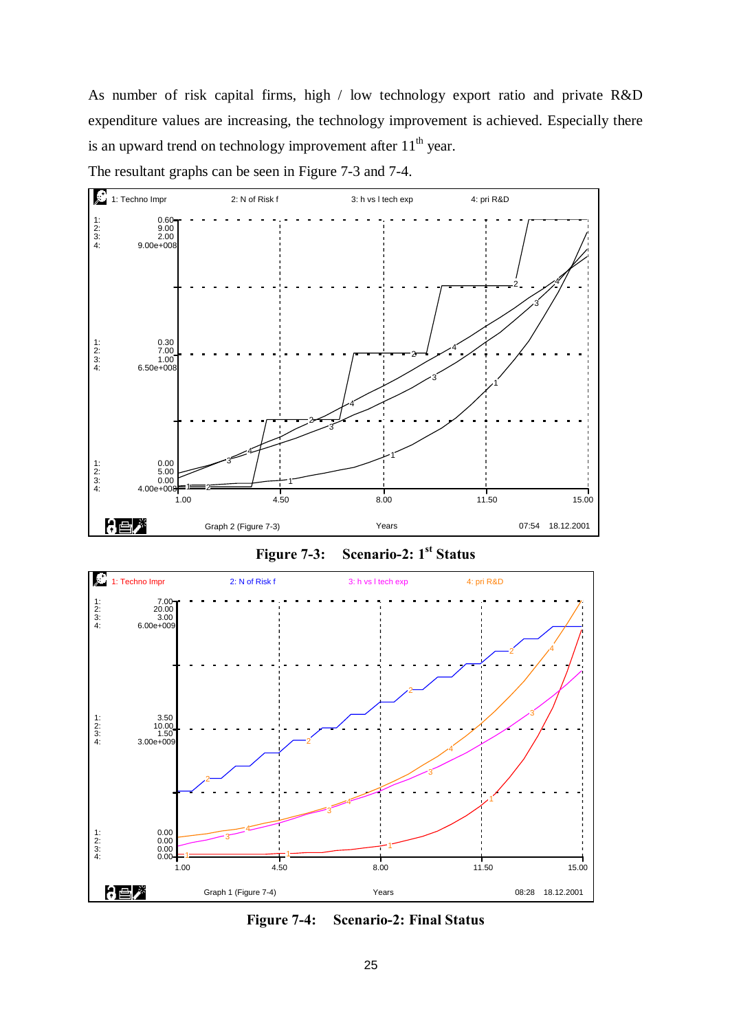As number of risk capital firms, high / low technology export ratio and private R&D expenditure values are increasing, the technology improvement is achieved. Especially there is an upward trend on technology improvement after  $11<sup>th</sup>$  year.

The resultant graphs can be seen in Figure 7-3 and 7-4.



Figure 7-3: Scenario-2: 1<sup>st</sup> Status



Figure 7-4: Scenario-2: Final Status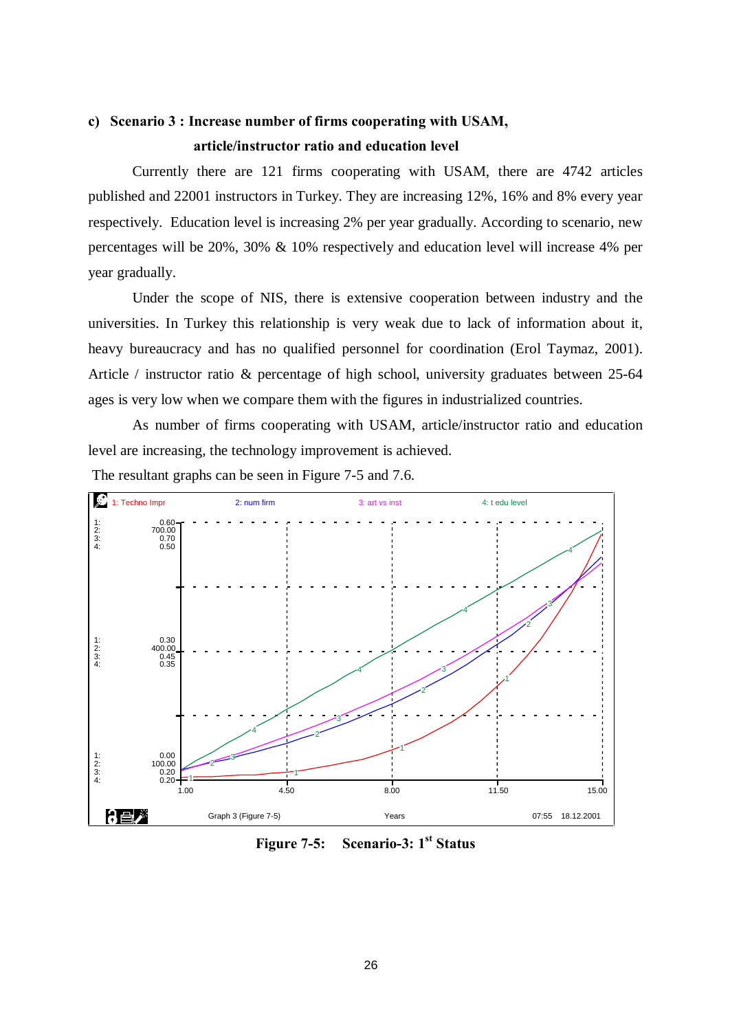## c) Scenario 3 : Increase number of firms cooperating with USAM, article/instructor ratio and education level

Currently there are 121 firms cooperating with USAM, there are 4742 articles published and 22001 instructors in Turkey. They are increasing 12%, 16% and 8% every year respectively. Education level is increasing 2% per year gradually. According to scenario, new percentages will be 20%, 30% & 10% respectively and education level will increase 4% per year gradually.

Under the scope of NIS, there is extensive cooperation between industry and the universities. In Turkey this relationship is very weak due to lack of information about it, heavy bureaucracy and has no qualified personnel for coordination (Erol Taymaz, 2001). Article / instructor ratio & percentage of high school, university graduates between 25-64 ages is very low when we compare them with the figures in industrialized countries.

As number of firms cooperating with USAM, article/instructor ratio and education level are increasing, the technology improvement is achieved.



The resultant graphs can be seen in Figure 7-5 and 7.6.

Figure 7-5: Scenario-3: 1<sup>st</sup> Status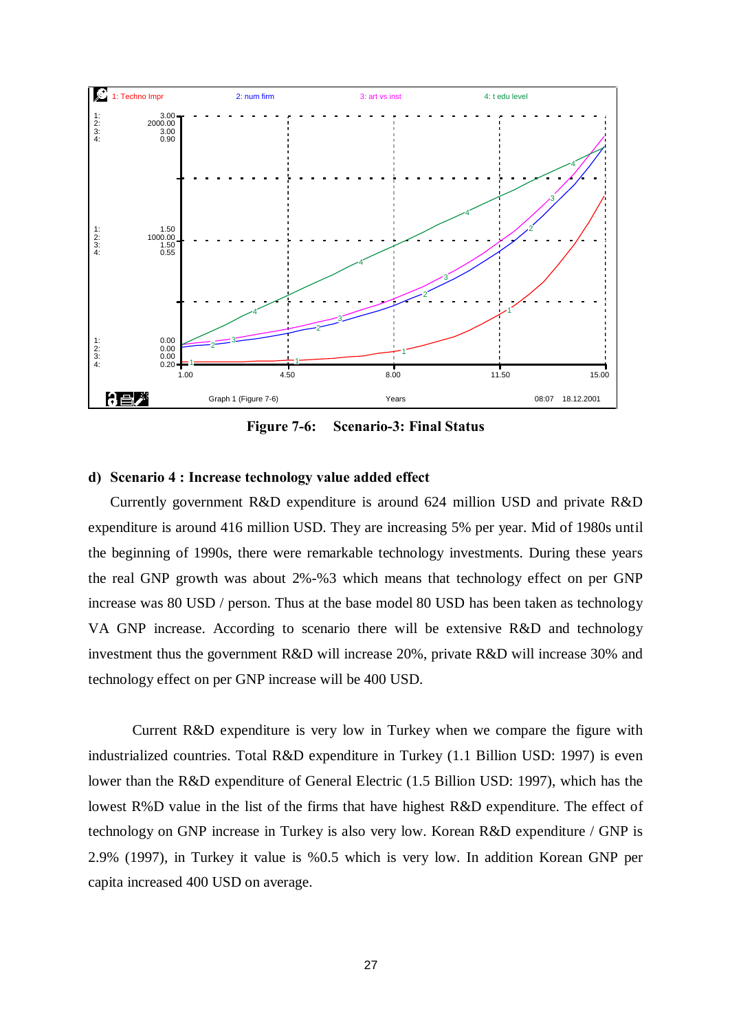

Figure 7-6: Scenario-3: Final Status

#### d) Scenario 4 : Increase technology value added effect

Currently government R&D expenditure is around 624 million USD and private R&D expenditure is around 416 million USD. They are increasing 5% peryear. Mid of 1980s until the beginning of 1990s, there were remarkable technology investments. During these years the real GNP growth was about 2%-%3 which means that technology effect on per GNP increase was 80 USD / person. Thus at the base model 80 USD has been taken as technology VA GNP increase. According to scenario there will be extensive R&D and technology investment thus the government R&D will increase 20%, private R&D will increase 30% and technology effect on per GNP increase will be 400 USD.

Current R&D expenditure is very low in Turkey when we compare the figure with industrialized countries. Total R&D expenditure in Turkey (1.1 Billion USD: 1997) is even lower than the R&D expenditure of General Electric (1.5 Billion USD: 1997), which has the lowest R%D value in the list of the firms that have highest R&D expenditure. The effect of technology on GNP increase in Turkey is also very low. Korean R&D expenditure / GNP is 2.9% (1997), in Turkey it value is %0.5 which is very low. In addition Korean GNP per capita increased 400 USD on average.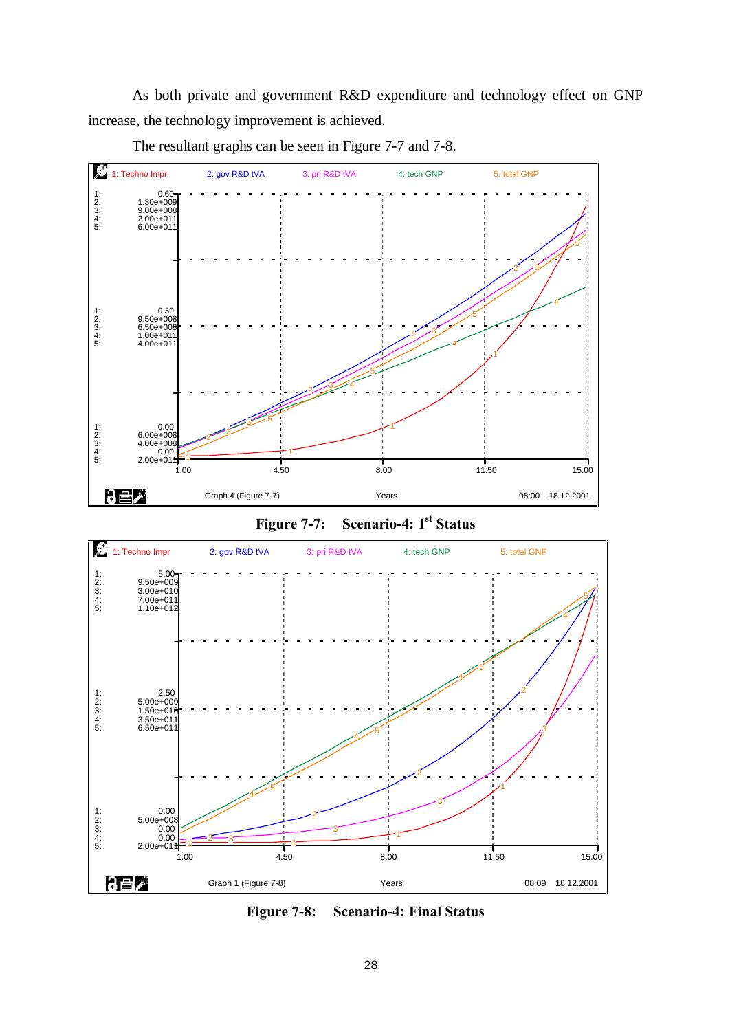As both private and government R&D expenditure and technology effect on GNP increase, the technology improvement is achieved.



The resultant graphs can be seen in Figure 7-7 and 7-8.





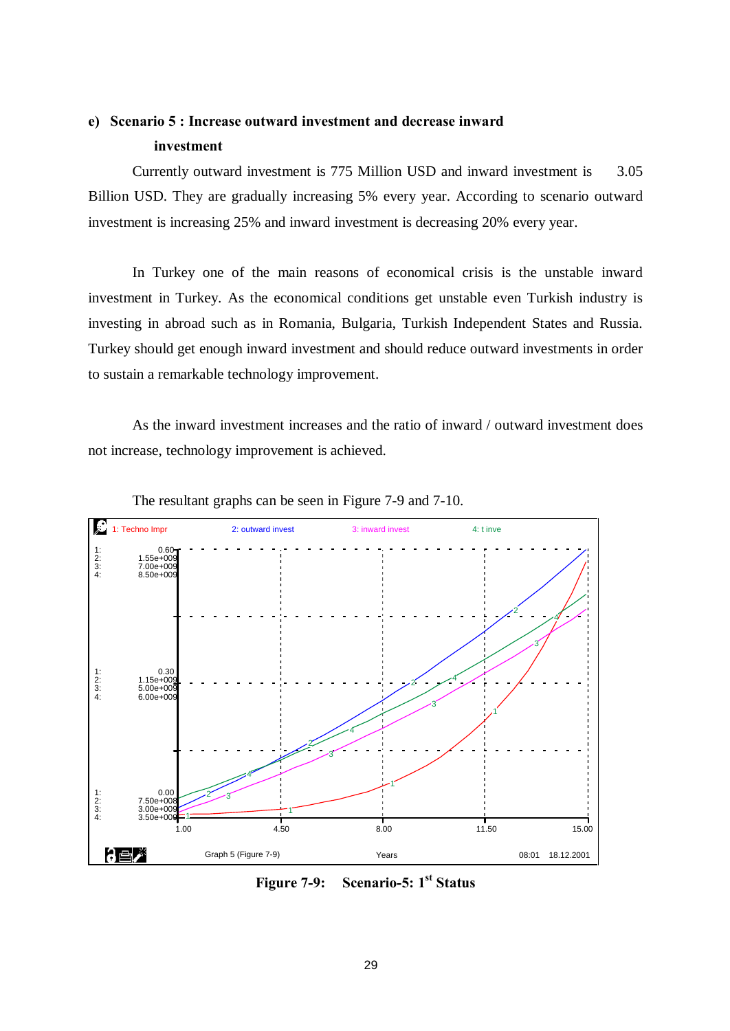## e) Scenario 5 : Increase outward investment and decrease inward investment

Currently outward investment is 775 Million USD and inward investment is 3.05 Billion USD. They are gradually increasing 5% every year. According to scenario outward investment is increasing 25% and inward investment is decreasing 20% every year.

In Turkey one of the main reasons of economical crisis is the unstable inward investment in Turkey. As the economical conditions get unstable even Turkish industry is investing in abroad such as in Romania, Bulgaria, Turkish Independent States and Russia. Turkey should get enough inward investment and should reduce outward investments in order to sustain a remarkable technology improvement.

As the inward investment increases and the ratio of inward / outward investment does not increase, technology improvement is achieved.



The resultant graphs can be seen in Figure 7-9 and 7-10.

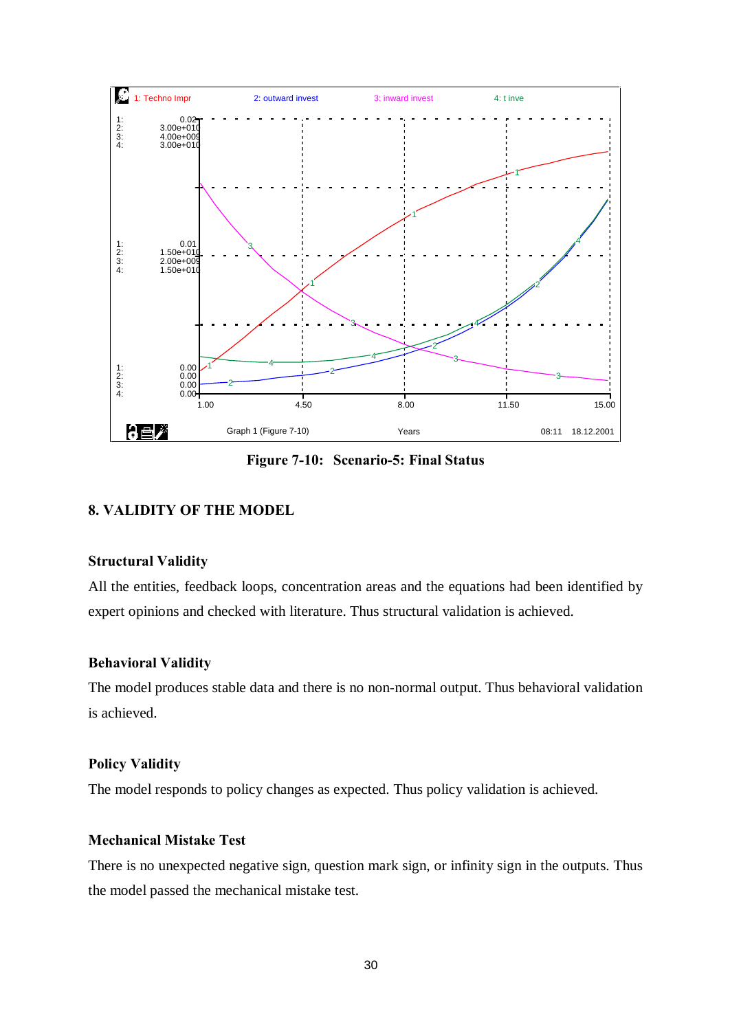

Figure 7-10: Scenario-5: Final Status

## 8. VALIDITY OF THE MODEL

#### Structural Validity

All the entities, feedback loops, concentration areas and the equations had been identified by expert opinions and checked with literature. Thus structural validation is achieved.

#### Behavioral Validity

The model produces stable data and there is no non-normal output. Thus behavioral validation is achieved.

## Policy Validity

The model responds to policy changes as expected. Thus policy validation is achieved.

## Mechanical Mistake Test

There is no unexpected negative sign, question mark sign, or infinity sign in the outputs. Thus the model passed the mechanical mistake test.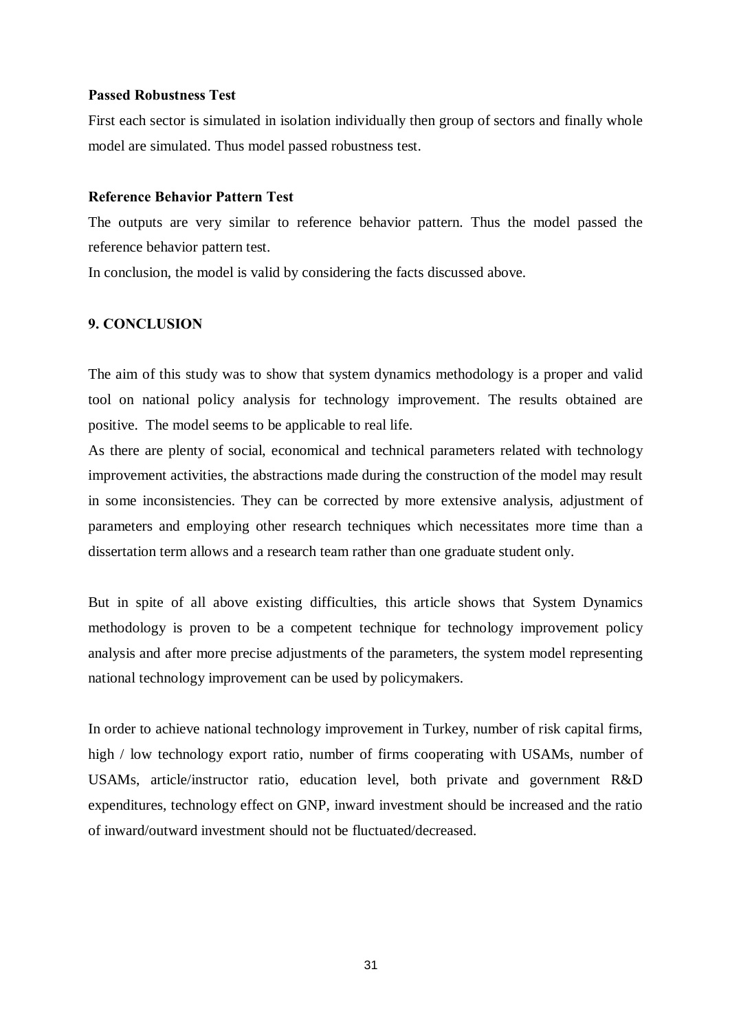#### Passed Robustness Test

First each sector is simulated in isolation individually then group of sectors and finally whole model are simulated. Thus model passed robustness test.

### Reference Behavior Pattern Test

The outputs are very similar to reference behavior pattern. Thus the model passed the reference behavior pattern test.

In conclusion, the model is valid by considering the facts discussed above.

## 9. CONCLUSION

The aim of this study was to show that system dynamics methodology is a proper and valid tool on national policy analysis for technology improvement. The results obtained are positive. The model seems to be applicable to real life.

As there are plenty of social, economical and technical parameters related with technology improvement activities, the abstractions made during the construction of the model may result in some inconsistencies. They can be corrected by more extensive analysis, adjustment of parameters and employing other research techniques which necessitates more time than a dissertation term allows and a research team rather than one graduate student only.

But in spite of all above existing difficulties, this article shows that System Dynamics methodology is proven to be a competent technique for technology improvement policy analysis and after more precise adjustments of the parameters, the system model representing national technology improvement can be used by policymakers.

In order to achieve national technology improvement in Turkey, number of risk capital firms, high / low technology export ratio, number of firms cooperating with USAMs, number of USAMs, article/instructor ratio, education level, both private and government R&D expenditures, technology effect on GNP, inward investment should be increased and the ratio of inward/outward investment should not be fluctuated/decreased.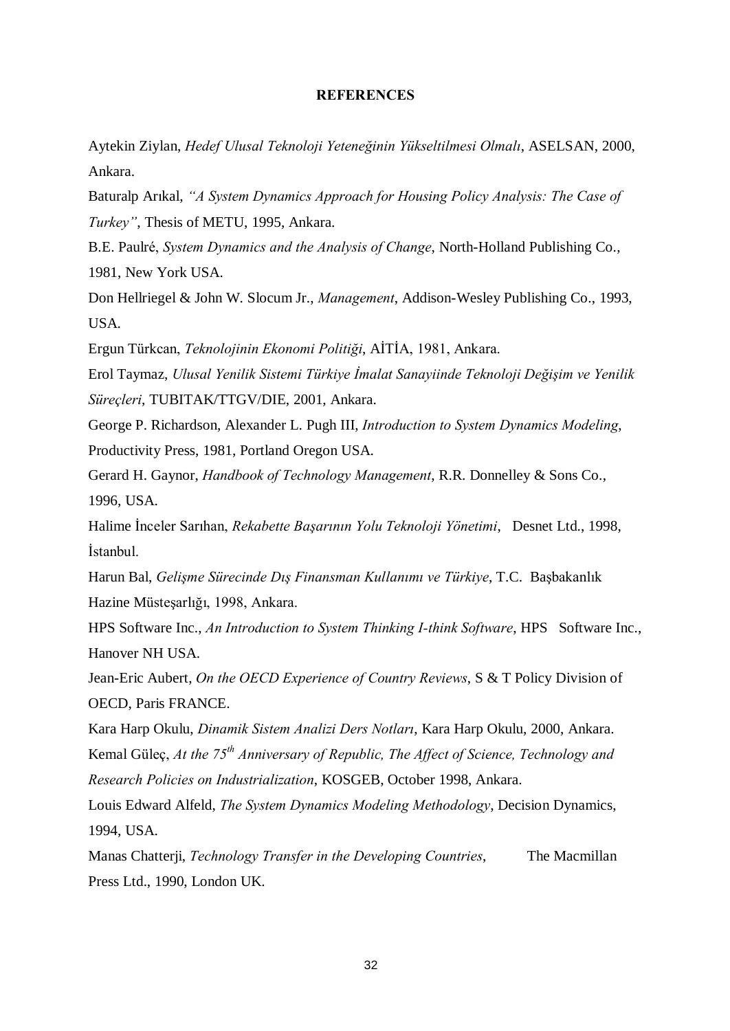#### **REFERENCES**

Aytekin Ziylan, Hedef Ulusal Teknoloji Yeteneğinin Yükseltilmesi Olmalı, ASELSAN, 2000, Ankara.

Baturalp Arikal, "A System Dynamics Approach for Housing Policy Analysis: The Case of Turkey", Thesis of METU, 1995, Ankara.

B.E. Paulré, System Dynamics and the Analysis of Change, North-Holland Publishing Co., 1981, New York USA.

Don Hellriegel & John W. Slocum Jr., Management, Addison-Wesley Publishing Co., 1993, USA.

Ergun Türkcan, Teknolojinin Ekonomi Politiği, AİTİA, 1981, Ankara.

Erol Taymaz, Ulusal Yenilik Sistemi Türkiye İmalat Sanayiinde Teknoloji Değişim ve Yenilik Süreçleri, TUBITAK/TTGV/DIE, 2001, Ankara.

George P. Richardson, Alexander L. Pugh III, Introduction to System Dynamics Modeling, Productivity Press, 1981, Portland Oregon USA.

Gerard H. Gaynor, Handbook of Technology Management, R.R. Donnelley & Sons Co., 1996, USA.

Halime İnceler Sarıhan, Rekabette Başarının Yolu Teknoloji Yönetimi, Desnet Ltd., 1998, İstanbul.

Harun Bal, Gelisme Sürecinde Dıs Finansman Kullanımı ve Türkiye, T.C. Basbakanlık Hazine Müsteşarlığı, 1998, Ankara.

HPS Software Inc., An Introduction to System Thinking I-think Software, HPS Software Inc., Hanover NH USA.

Jean-Eric Aubert, On the OECD Experience of Country Reviews, S & T Policy Division of OECD, Paris FRANCE.

Kara Harp Okulu, Dinamik Sistem Analizi Ders Notları, Kara Harp Okulu, 2000, Ankara. Kemal Güleç, At the 75<sup>th</sup> Anniversary of Republic, The Affect of Science, Technology and Research Policies on Industrialization, KOSGEB, October 1998, Ankara.

Louis Edward Alfeld, The System Dynamics Modeling Methodology, Decision Dynamics, 1994, USA.

Manas Chatterji, Technology Transfer in the Developing Countries, The Macmillan Press Ltd., 1990, London UK.

32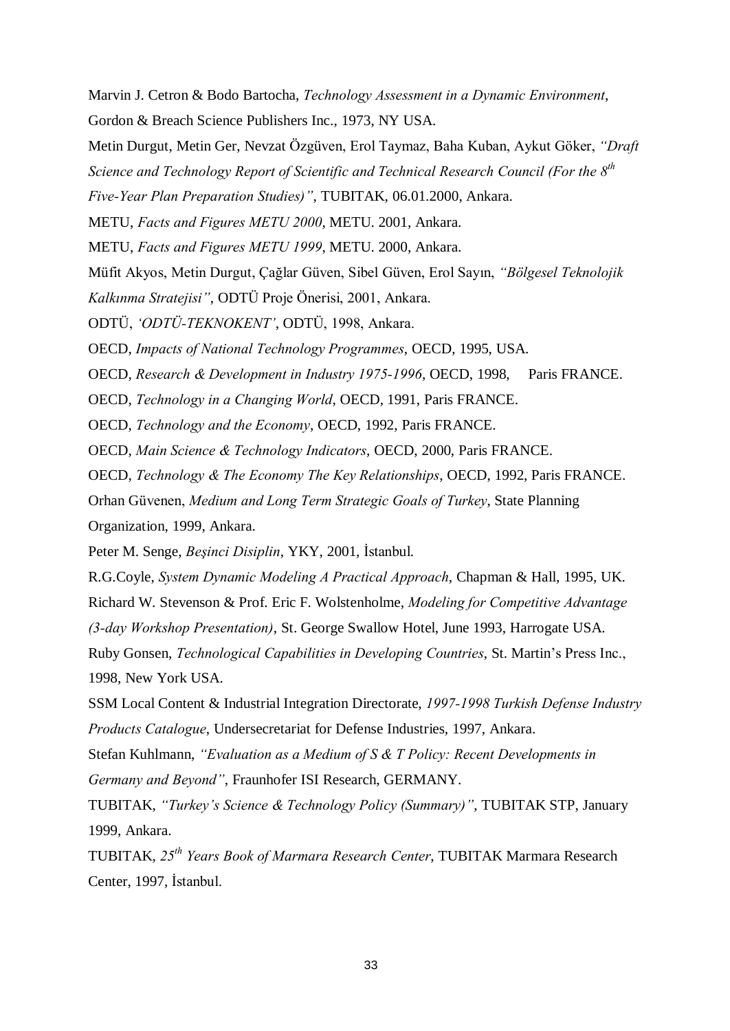Marvin J. Cetron & Bodo Bartocha, Technology Assessment in a Dynamic Environment, Gordon & Breach Science Publishers Inc., 1973, NY USA.

Metin Durgut, Metin Ger, Nevzat Özgüven, Erol Taymaz, Baha Kuban, Aykut Göker, "Draft

Science and Technology Report of Scientific and Technical Research Council (For the  $8^{th}$ 

Five-Year Plan Preparation Studies)", TUBITAK, 06.01.2000, Ankara.

METU, Facts and Figures METU 2000, METU. 2001, Ankara.

METU, Facts and Figures METU 1999, METU. 2000, Ankara.

Müfit Akyos, Metin Durgut, Cağlar Güven, Sibel Güven, Erol Sayın, "Bölgesel Teknolojik

Kalkınma Stratejisi", ODTÜ Proje Önerisi, 2001, Ankara.

ODTÜ, 'ODTÜ-TEKNOKENT', ODTÜ, 1998, Ankara.

OECD, Impacts of National Technology Programmes, OECD, 1995, USA.

OECD, Research & Development in Industry 1975-1996, OECD, 1998, Paris FRANCE.

OECD, Technology in a Changing World, OECD, 1991, Paris FRANCE.

OECD, Technology and the Economy, OECD, 1992, Paris FRANCE.

OECD, Main Science & Technology Indicators, OECD, 2000, Paris FRANCE.

OECD, Technology & The Economy The Key Relationships, OECD, 1992, Paris FRANCE.

Orhan Güvenen, Medium and Long Term Strategic Goals of Turkey, State Planning Organization, 1999, Ankara.

Peter M. Senge, Beşinci Disiplin, YKY, 2001, İstanbul.

R.G.Coyle, System Dynamic Modeling A Practical Approach, Chapman & Hall, 1995, UK.

Richard W. Stevenson & Prof. Eric F. Wolstenholme, Modeling for Competitive Advantage

(3-day Workshop Presentation), St. George Swallow Hotel, June 1993, Harrogate USA.

Ruby Gonsen, Technological Capabilities in Developing Countries, St. Martin's Press Inc., 1998, New York USA.

SSM Local Content & Industrial Integration Directorate, 1997-1998 Turkish Defense Industry Products Catalogue, Undersecretariat for Defense Industries, 1997, Ankara.

Stefan Kuhlmann, "Evaluation as a Medium of S & T Policy: Recent Developments in Germany and Beyond", Fraunhofer ISI Research, GERMANY.

TUBITAK, "Turkey's Science & Technology Policy (Summary)", TUBITAK STP, January 1999, Ankara.

TUBITAK, 25<sup>th</sup> Years Book of Marmara Research Center, TUBITAK Marmara Research Center, 1997, İstanbul.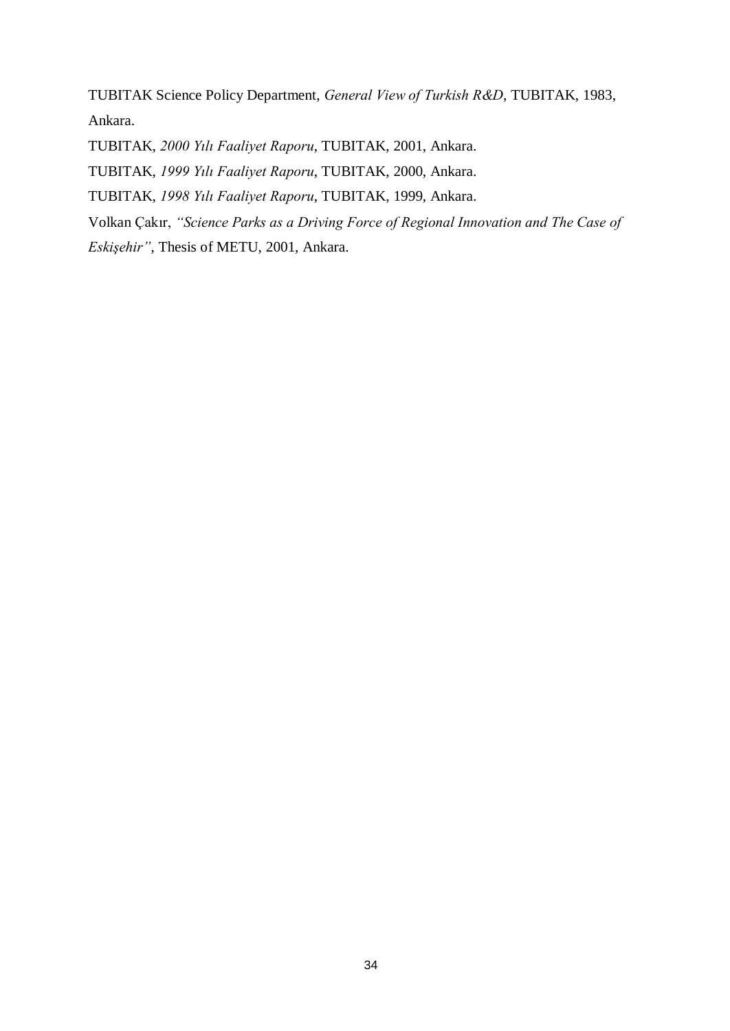TUBITAK Science Policy Department, General View of Turkish R&D, TUBITAK, 1983, Ankara.

TUBITAK, 2000 Yılı Faaliyet Raporu, TUBITAK, 2001, Ankara.

TUBITAK, 1999 Yılı Faaliyet Raporu, TUBITAK, 2000, Ankara.

TUBITAK, 1998 Yılı Faaliyet Raporu, TUBITAK, 1999, Ankara.

Volkan Çakır, "Science Parks as a Driving Force of Regional Innovation and The Case of

Eskişehir", Thesis of METU, 2001, Ankara.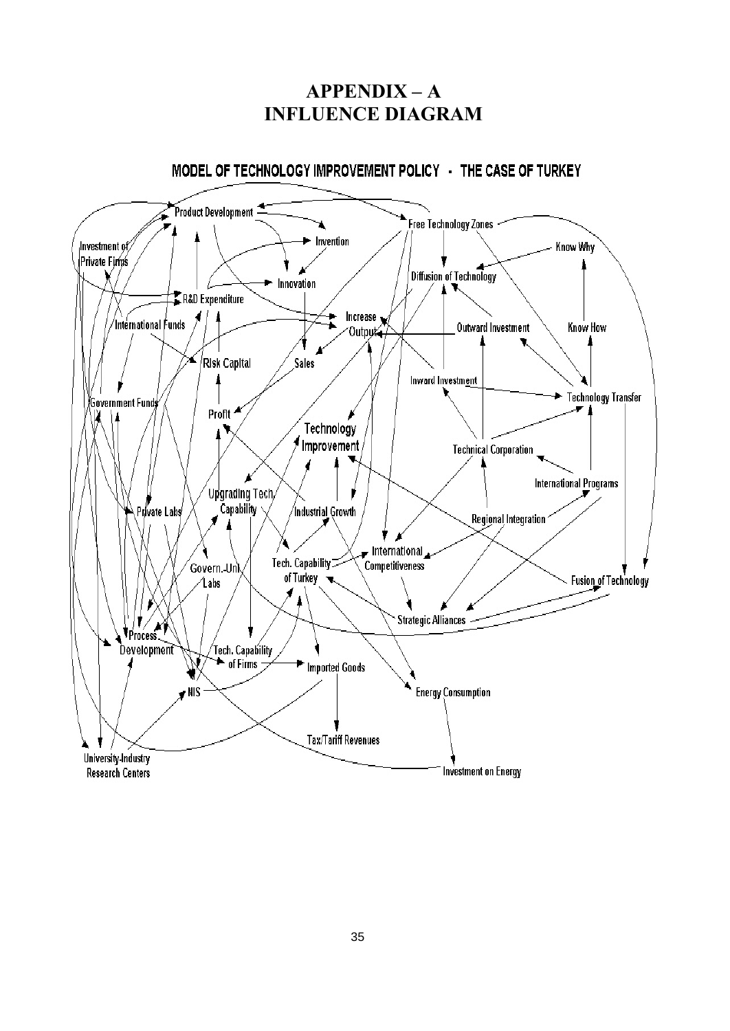## $APPENDIX - A$ INFLUENCE DIAGRAM



## MODEL OF TECHNOLOGY IMPROVEMENT POLICY - THE CASE OF TURKEY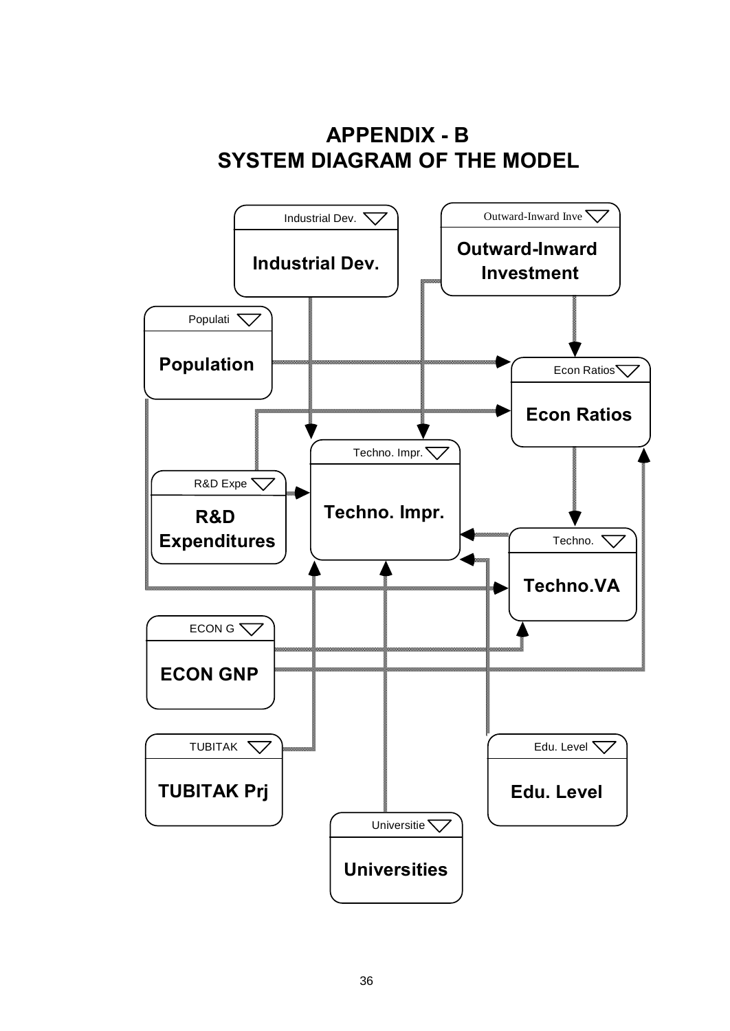# APPENDIX - B SYSTEM DIAGRAM OF THE MODEL